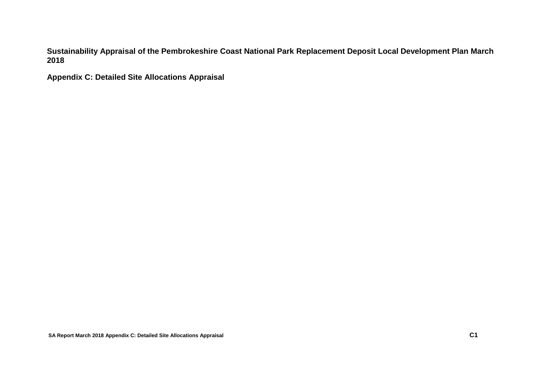**Sustainability Appraisal of the Pembrokeshire Coast National Park Replacement Deposit Local Development Plan March 2018**

**Appendix C: Detailed Site Allocations Appraisal**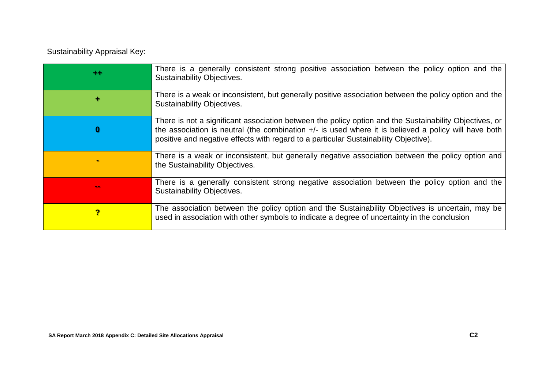Sustainability Appraisal Key:

| $^{\tiny{++}}$ | There is a generally consistent strong positive association between the policy option and the<br><b>Sustainability Objectives.</b>                                                                                                                                                                       |
|----------------|----------------------------------------------------------------------------------------------------------------------------------------------------------------------------------------------------------------------------------------------------------------------------------------------------------|
| ÷              | There is a weak or inconsistent, but generally positive association between the policy option and the<br><b>Sustainability Objectives.</b>                                                                                                                                                               |
|                | There is not a significant association between the policy option and the Sustainability Objectives, or<br>the association is neutral (the combination $+/-$ is used where it is believed a policy will have both<br>positive and negative effects with regard to a particular Sustainability Objective). |
|                | There is a weak or inconsistent, but generally negative association between the policy option and<br>the Sustainability Objectives.                                                                                                                                                                      |
|                | There is a generally consistent strong negative association between the policy option and the<br><b>Sustainability Objectives.</b>                                                                                                                                                                       |
| ?              | The association between the policy option and the Sustainability Objectives is uncertain, may be<br>used in association with other symbols to indicate a degree of uncertainty in the conclusion                                                                                                         |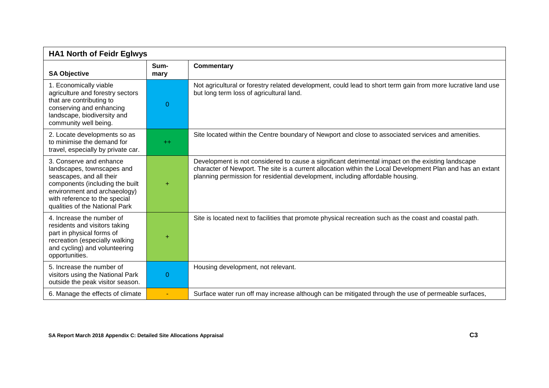| <b>HA1 North of Feidr Eglwys</b>                                                                                                                                                                                        |              |                                                                                                                                                                                                                                                                                                   |
|-------------------------------------------------------------------------------------------------------------------------------------------------------------------------------------------------------------------------|--------------|---------------------------------------------------------------------------------------------------------------------------------------------------------------------------------------------------------------------------------------------------------------------------------------------------|
| <b>SA Objective</b>                                                                                                                                                                                                     | Sum-<br>mary | <b>Commentary</b>                                                                                                                                                                                                                                                                                 |
| 1. Economically viable<br>agriculture and forestry sectors<br>that are contributing to<br>conserving and enhancing<br>landscape, biodiversity and<br>community well being.                                              | 0            | Not agricultural or forestry related development, could lead to short term gain from more lucrative land use<br>but long term loss of agricultural land.                                                                                                                                          |
| 2. Locate developments so as<br>to minimise the demand for<br>travel, especially by private car.                                                                                                                        | $++$         | Site located within the Centre boundary of Newport and close to associated services and amenities.                                                                                                                                                                                                |
| 3. Conserve and enhance<br>landscapes, townscapes and<br>seascapes, and all their<br>components (including the built<br>environment and archaeology)<br>with reference to the special<br>qualities of the National Park | ÷            | Development is not considered to cause a significant detrimental impact on the existing landscape<br>character of Newport. The site is a current allocation within the Local Development Plan and has an extant<br>planning permission for residential development, including affordable housing. |
| 4. Increase the number of<br>residents and visitors taking<br>part in physical forms of<br>recreation (especially walking<br>and cycling) and volunteering<br>opportunities.                                            |              | Site is located next to facilities that promote physical recreation such as the coast and coastal path.                                                                                                                                                                                           |
| 5. Increase the number of<br>visitors using the National Park<br>outside the peak visitor season.                                                                                                                       | 0            | Housing development, not relevant.                                                                                                                                                                                                                                                                |
| 6. Manage the effects of climate                                                                                                                                                                                        |              | Surface water run off may increase although can be mitigated through the use of permeable surfaces,                                                                                                                                                                                               |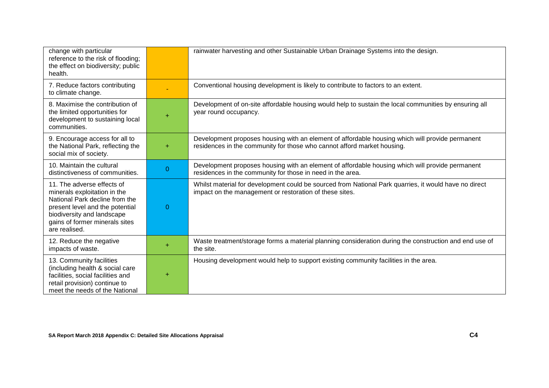| change with particular<br>reference to the risk of flooding;<br>the effect on biodiversity; public<br>health.                                                                                                    |                | rainwater harvesting and other Sustainable Urban Drainage Systems into the design.                                                                                         |
|------------------------------------------------------------------------------------------------------------------------------------------------------------------------------------------------------------------|----------------|----------------------------------------------------------------------------------------------------------------------------------------------------------------------------|
| 7. Reduce factors contributing<br>to climate change.                                                                                                                                                             |                | Conventional housing development is likely to contribute to factors to an extent.                                                                                          |
| 8. Maximise the contribution of<br>the limited opportunities for<br>development to sustaining local<br>communities.                                                                                              | $\ddot{}$      | Development of on-site affordable housing would help to sustain the local communities by ensuring all<br>year round occupancy.                                             |
| 9. Encourage access for all to<br>the National Park, reflecting the<br>social mix of society.                                                                                                                    | ÷              | Development proposes housing with an element of affordable housing which will provide permanent<br>residences in the community for those who cannot afford market housing. |
| 10. Maintain the cultural<br>distinctiveness of communities.                                                                                                                                                     | $\overline{0}$ | Development proposes housing with an element of affordable housing which will provide permanent<br>residences in the community for those in need in the area.              |
| 11. The adverse effects of<br>minerals exploitation in the<br>National Park decline from the<br>present level and the potential<br>biodiversity and landscape<br>gains of former minerals sites<br>are realised. | $\theta$       | Whilst material for development could be sourced from National Park quarries, it would have no direct<br>impact on the management or restoration of these sites.           |
| 12. Reduce the negative<br>impacts of waste.                                                                                                                                                                     | ÷              | Waste treatment/storage forms a material planning consideration during the construction and end use of<br>the site.                                                        |
| 13. Community facilities<br>(including health & social care<br>facilities, social facilities and<br>retail provision) continue to<br>meet the needs of the National                                              | ÷              | Housing development would help to support existing community facilities in the area.                                                                                       |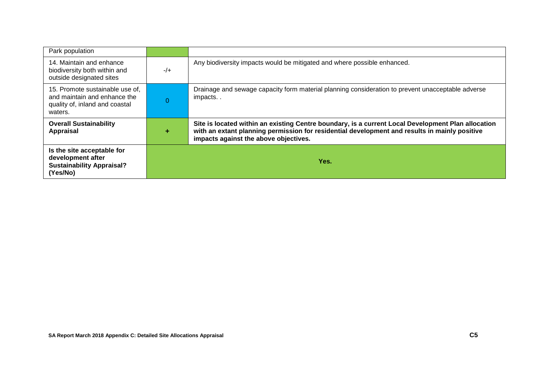| Park population                                                                                              |                |                                                                                                                                                                                                                                              |
|--------------------------------------------------------------------------------------------------------------|----------------|----------------------------------------------------------------------------------------------------------------------------------------------------------------------------------------------------------------------------------------------|
| 14. Maintain and enhance<br>biodiversity both within and<br>outside designated sites                         | $-/-$          | Any biodiversity impacts would be mitigated and where possible enhanced.                                                                                                                                                                     |
| 15. Promote sustainable use of,<br>and maintain and enhance the<br>quality of, inland and coastal<br>waters. | $\overline{0}$ | Drainage and sewage capacity form material planning consideration to prevent unacceptable adverse<br>impacts                                                                                                                                 |
| <b>Overall Sustainability</b><br>Appraisal                                                                   | ٠              | Site is located within an existing Centre boundary, is a current Local Development Plan allocation<br>with an extant planning permission for residential development and results in mainly positive<br>impacts against the above objectives. |
| Is the site acceptable for<br>development after<br><b>Sustainability Appraisal?</b><br>(Yes/No)              |                | Yes.                                                                                                                                                                                                                                         |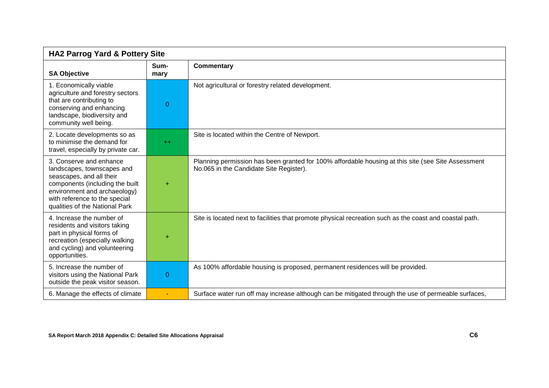| <b>HA2 Parrog Yard &amp; Pottery Site</b>                                                                                                                                                                               |                |                                                                                                                                               |
|-------------------------------------------------------------------------------------------------------------------------------------------------------------------------------------------------------------------------|----------------|-----------------------------------------------------------------------------------------------------------------------------------------------|
| <b>SA Objective</b>                                                                                                                                                                                                     | Sum-<br>mary   | <b>Commentary</b>                                                                                                                             |
| 1. Economically viable<br>agriculture and forestry sectors<br>that are contributing to<br>conserving and enhancing<br>landscape, biodiversity and<br>community well being.                                              | $\overline{0}$ | Not agricultural or forestry related development.                                                                                             |
| 2. Locate developments so as<br>to minimise the demand for<br>travel, especially by private car.                                                                                                                        | $++$           | Site is located within the Centre of Newport.                                                                                                 |
| 3. Conserve and enhance<br>landscapes, townscapes and<br>seascapes, and all their<br>components (including the built<br>environment and archaeology)<br>with reference to the special<br>qualities of the National Park | $\ddot{}$      | Planning permission has been granted for 100% affordable housing at this site (see Site Assessment<br>No.065 in the Candidate Site Register). |
| 4. Increase the number of<br>residents and visitors taking<br>part in physical forms of<br>recreation (especially walking<br>and cycling) and volunteering<br>opportunities.                                            |                | Site is located next to facilities that promote physical recreation such as the coast and coastal path.                                       |
| 5. Increase the number of<br>visitors using the National Park<br>outside the peak visitor season.                                                                                                                       | $\Omega$       | As 100% affordable housing is proposed, permanent residences will be provided.                                                                |
| 6. Manage the effects of climate                                                                                                                                                                                        | $\sim$         | Surface water run off may increase although can be mitigated through the use of permeable surfaces,                                           |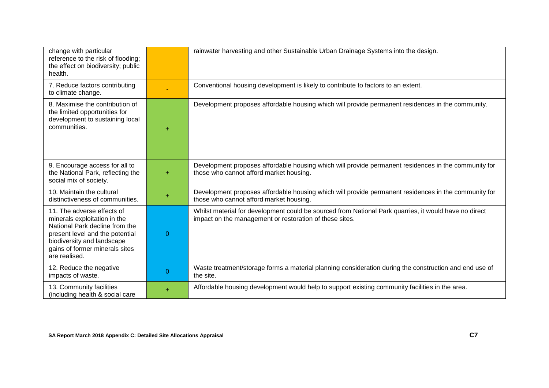| change with particular<br>reference to the risk of flooding;<br>the effect on biodiversity; public<br>health.                                                                                                    |                | rainwater harvesting and other Sustainable Urban Drainage Systems into the design.                                                                               |
|------------------------------------------------------------------------------------------------------------------------------------------------------------------------------------------------------------------|----------------|------------------------------------------------------------------------------------------------------------------------------------------------------------------|
| 7. Reduce factors contributing<br>to climate change.                                                                                                                                                             |                | Conventional housing development is likely to contribute to factors to an extent.                                                                                |
| 8. Maximise the contribution of<br>the limited opportunities for<br>development to sustaining local<br>communities.                                                                                              | ÷              | Development proposes affordable housing which will provide permanent residences in the community.                                                                |
| 9. Encourage access for all to<br>the National Park, reflecting the<br>social mix of society.                                                                                                                    | $\ddot{}$      | Development proposes affordable housing which will provide permanent residences in the community for<br>those who cannot afford market housing.                  |
| 10. Maintain the cultural<br>distinctiveness of communities.                                                                                                                                                     | ÷              | Development proposes affordable housing which will provide permanent residences in the community for<br>those who cannot afford market housing.                  |
| 11. The adverse effects of<br>minerals exploitation in the<br>National Park decline from the<br>present level and the potential<br>biodiversity and landscape<br>gains of former minerals sites<br>are realised. | 0              | Whilst material for development could be sourced from National Park quarries, it would have no direct<br>impact on the management or restoration of these sites. |
| 12. Reduce the negative<br>impacts of waste.                                                                                                                                                                     | $\overline{0}$ | Waste treatment/storage forms a material planning consideration during the construction and end use of<br>the site.                                              |
| 13. Community facilities<br>(including health & social care                                                                                                                                                      | ÷              | Affordable housing development would help to support existing community facilities in the area.                                                                  |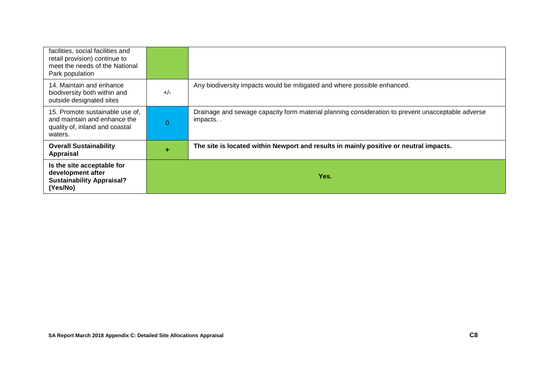| facilities, social facilities and<br>retail provision) continue to<br>meet the needs of the National<br>Park population |          |                                                                                                              |
|-------------------------------------------------------------------------------------------------------------------------|----------|--------------------------------------------------------------------------------------------------------------|
| 14. Maintain and enhance<br>biodiversity both within and<br>outside designated sites                                    | $+/-$    | Any biodiversity impacts would be mitigated and where possible enhanced.                                     |
| 15. Promote sustainable use of,<br>and maintain and enhance the<br>quality of, inland and coastal<br>waters.            | $\Omega$ | Drainage and sewage capacity form material planning consideration to prevent unacceptable adverse<br>impacts |
| <b>Overall Sustainability</b><br>Appraisal                                                                              | ÷        | The site is located within Newport and results in mainly positive or neutral impacts.                        |
| Is the site acceptable for<br>development after<br><b>Sustainability Appraisal?</b><br>(Yes/No)                         |          | Yes.                                                                                                         |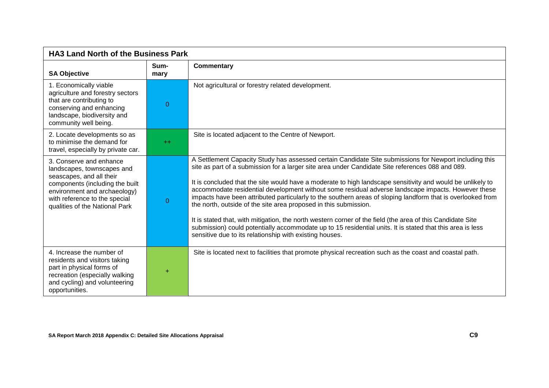| <b>HA3 Land North of the Business Park</b>                                                                                                                                                                              |              |                                                                                                                                                                                                                                                                                                                                                                                                                                                                                                                                                                                                                                                                                                                                                                                                                                                                                                         |
|-------------------------------------------------------------------------------------------------------------------------------------------------------------------------------------------------------------------------|--------------|---------------------------------------------------------------------------------------------------------------------------------------------------------------------------------------------------------------------------------------------------------------------------------------------------------------------------------------------------------------------------------------------------------------------------------------------------------------------------------------------------------------------------------------------------------------------------------------------------------------------------------------------------------------------------------------------------------------------------------------------------------------------------------------------------------------------------------------------------------------------------------------------------------|
| <b>SA Objective</b>                                                                                                                                                                                                     | Sum-<br>mary | <b>Commentary</b>                                                                                                                                                                                                                                                                                                                                                                                                                                                                                                                                                                                                                                                                                                                                                                                                                                                                                       |
| 1. Economically viable<br>agriculture and forestry sectors<br>that are contributing to<br>conserving and enhancing<br>landscape, biodiversity and<br>community well being.                                              | 0            | Not agricultural or forestry related development.                                                                                                                                                                                                                                                                                                                                                                                                                                                                                                                                                                                                                                                                                                                                                                                                                                                       |
| 2. Locate developments so as<br>to minimise the demand for<br>travel, especially by private car.                                                                                                                        | $+$          | Site is located adjacent to the Centre of Newport.                                                                                                                                                                                                                                                                                                                                                                                                                                                                                                                                                                                                                                                                                                                                                                                                                                                      |
| 3. Conserve and enhance<br>landscapes, townscapes and<br>seascapes, and all their<br>components (including the built<br>environment and archaeology)<br>with reference to the special<br>qualities of the National Park | 0            | A Settlement Capacity Study has assessed certain Candidate Site submissions for Newport including this<br>site as part of a submission for a larger site area under Candidate Site references 088 and 089.<br>It is concluded that the site would have a moderate to high landscape sensitivity and would be unlikely to<br>accommodate residential development without some residual adverse landscape impacts. However these<br>impacts have been attributed particularly to the southern areas of sloping landform that is overlooked from<br>the north, outside of the site area proposed in this submission.<br>It is stated that, with mitigation, the north western corner of the field (the area of this Candidate Site<br>submission) could potentially accommodate up to 15 residential units. It is stated that this area is less<br>sensitive due to its relationship with existing houses. |
| 4. Increase the number of<br>residents and visitors taking<br>part in physical forms of<br>recreation (especially walking<br>and cycling) and volunteering<br>opportunities.                                            | $\ddot{}$    | Site is located next to facilities that promote physical recreation such as the coast and coastal path.                                                                                                                                                                                                                                                                                                                                                                                                                                                                                                                                                                                                                                                                                                                                                                                                 |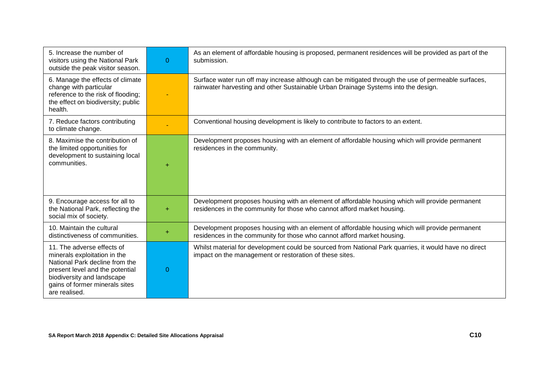| 5. Increase the number of<br>visitors using the National Park<br>outside the peak visitor season.                                                                                                                | $\Omega$ | As an element of affordable housing is proposed, permanent residences will be provided as part of the<br>submission.                                                                      |
|------------------------------------------------------------------------------------------------------------------------------------------------------------------------------------------------------------------|----------|-------------------------------------------------------------------------------------------------------------------------------------------------------------------------------------------|
| 6. Manage the effects of climate<br>change with particular<br>reference to the risk of flooding;<br>the effect on biodiversity; public<br>health.                                                                |          | Surface water run off may increase although can be mitigated through the use of permeable surfaces,<br>rainwater harvesting and other Sustainable Urban Drainage Systems into the design. |
| 7. Reduce factors contributing<br>to climate change.                                                                                                                                                             |          | Conventional housing development is likely to contribute to factors to an extent.                                                                                                         |
| 8. Maximise the contribution of<br>the limited opportunities for<br>development to sustaining local<br>communities.                                                                                              | ÷        | Development proposes housing with an element of affordable housing which will provide permanent<br>residences in the community.                                                           |
| 9. Encourage access for all to<br>the National Park, reflecting the<br>social mix of society.                                                                                                                    | ÷        | Development proposes housing with an element of affordable housing which will provide permanent<br>residences in the community for those who cannot afford market housing.                |
| 10. Maintain the cultural<br>distinctiveness of communities.                                                                                                                                                     | ÷        | Development proposes housing with an element of affordable housing which will provide permanent<br>residences in the community for those who cannot afford market housing.                |
| 11. The adverse effects of<br>minerals exploitation in the<br>National Park decline from the<br>present level and the potential<br>biodiversity and landscape<br>gains of former minerals sites<br>are realised. | 0        | Whilst material for development could be sourced from National Park quarries, it would have no direct<br>impact on the management or restoration of these sites.                          |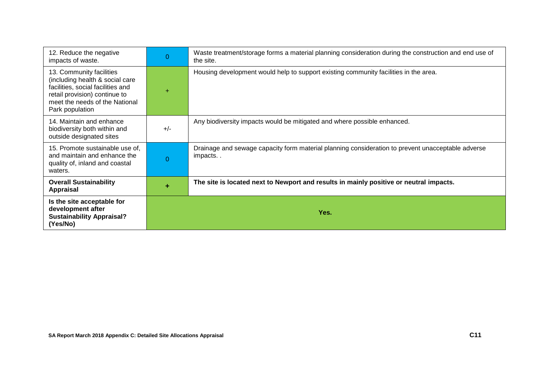| 12. Reduce the negative<br>impacts of waste.                                                                                                                                           | 0     | Waste treatment/storage forms a material planning consideration during the construction and end use of<br>the site. |
|----------------------------------------------------------------------------------------------------------------------------------------------------------------------------------------|-------|---------------------------------------------------------------------------------------------------------------------|
| 13. Community facilities<br>(including health & social care<br>facilities, social facilities and<br>retail provision) continue to<br>meet the needs of the National<br>Park population |       | Housing development would help to support existing community facilities in the area.                                |
| 14. Maintain and enhance<br>biodiversity both within and<br>outside designated sites                                                                                                   | $+/-$ | Any biodiversity impacts would be mitigated and where possible enhanced.                                            |
| 15. Promote sustainable use of,<br>and maintain and enhance the<br>quality of, inland and coastal<br>waters.                                                                           | 0     | Drainage and sewage capacity form material planning consideration to prevent unacceptable adverse<br>impacts        |
| <b>Overall Sustainability</b><br><b>Appraisal</b>                                                                                                                                      | ÷     | The site is located next to Newport and results in mainly positive or neutral impacts.                              |
| Is the site acceptable for<br>development after<br><b>Sustainability Appraisal?</b><br>(Yes/No)                                                                                        |       | Yes.                                                                                                                |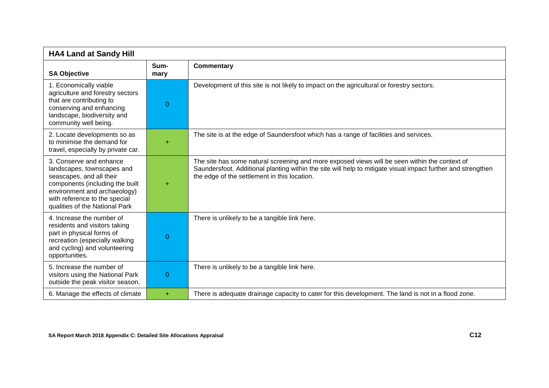| <b>HA4 Land at Sandy Hill</b>                                                                                                                                                                                           |              |                                                                                                                                                                                                                                                               |
|-------------------------------------------------------------------------------------------------------------------------------------------------------------------------------------------------------------------------|--------------|---------------------------------------------------------------------------------------------------------------------------------------------------------------------------------------------------------------------------------------------------------------|
| <b>SA Objective</b>                                                                                                                                                                                                     | Sum-<br>mary | <b>Commentary</b>                                                                                                                                                                                                                                             |
| 1. Economically viable<br>agriculture and forestry sectors<br>that are contributing to<br>conserving and enhancing<br>landscape, biodiversity and<br>community well being.                                              | $\Omega$     | Development of this site is not likely to impact on the agricultural or forestry sectors.                                                                                                                                                                     |
| 2. Locate developments so as<br>to minimise the demand for<br>travel, especially by private car.                                                                                                                        | ÷            | The site is at the edge of Saundersfoot which has a range of facilities and services.                                                                                                                                                                         |
| 3. Conserve and enhance<br>landscapes, townscapes and<br>seascapes, and all their<br>components (including the built<br>environment and archaeology)<br>with reference to the special<br>qualities of the National Park | $\ddot{}$    | The site has some natural screening and more exposed views will be seen within the context of<br>Saundersfoot. Additional planting within the site will help to mitigate visual impact further and strengthen<br>the edge of the settlement in this location. |
| 4. Increase the number of<br>residents and visitors taking<br>part in physical forms of<br>recreation (especially walking<br>and cycling) and volunteering<br>opportunities.                                            | 0            | There is unlikely to be a tangible link here.                                                                                                                                                                                                                 |
| 5. Increase the number of<br>visitors using the National Park<br>outside the peak visitor season.                                                                                                                       | 0            | There is unlikely to be a tangible link here.                                                                                                                                                                                                                 |
| 6. Manage the effects of climate                                                                                                                                                                                        | ÷.           | There is adequate drainage capacity to cater for this development. The land is not in a flood zone.                                                                                                                                                           |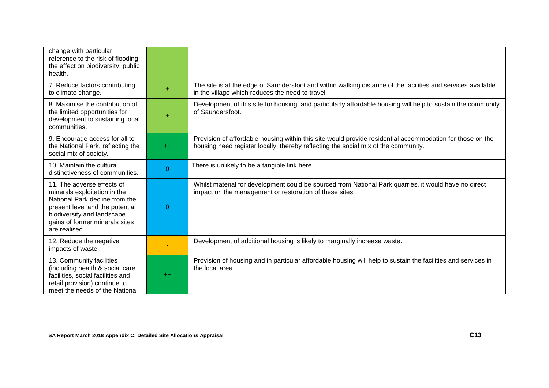| change with particular<br>reference to the risk of flooding;<br>the effect on biodiversity; public<br>health.                                                                                                    |                |                                                                                                                                                                                                 |
|------------------------------------------------------------------------------------------------------------------------------------------------------------------------------------------------------------------|----------------|-------------------------------------------------------------------------------------------------------------------------------------------------------------------------------------------------|
| 7. Reduce factors contributing<br>to climate change.                                                                                                                                                             | ÷              | The site is at the edge of Saundersfoot and within walking distance of the facilities and services available<br>in the village which reduces the need to travel.                                |
| 8. Maximise the contribution of<br>the limited opportunities for<br>development to sustaining local<br>communities.                                                                                              | $\ddot{}$      | Development of this site for housing, and particularly affordable housing will help to sustain the community<br>of Saundersfoot.                                                                |
| 9. Encourage access for all to<br>the National Park, reflecting the<br>social mix of society.                                                                                                                    | $++$           | Provision of affordable housing within this site would provide residential accommodation for those on the<br>housing need register locally, thereby reflecting the social mix of the community. |
| 10. Maintain the cultural<br>distinctiveness of communities.                                                                                                                                                     | $\overline{0}$ | There is unlikely to be a tangible link here.                                                                                                                                                   |
| 11. The adverse effects of<br>minerals exploitation in the<br>National Park decline from the<br>present level and the potential<br>biodiversity and landscape<br>gains of former minerals sites<br>are realised. | $\Omega$       | Whilst material for development could be sourced from National Park quarries, it would have no direct<br>impact on the management or restoration of these sites.                                |
| 12. Reduce the negative<br>impacts of waste.                                                                                                                                                                     |                | Development of additional housing is likely to marginally increase waste.                                                                                                                       |
| 13. Community facilities<br>(including health & social care<br>facilities, social facilities and<br>retail provision) continue to<br>meet the needs of the National                                              | $++$           | Provision of housing and in particular affordable housing will help to sustain the facilities and services in<br>the local area.                                                                |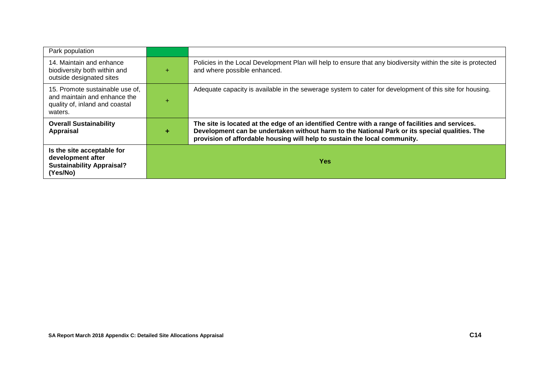| Park population                                                                                              |   |                                                                                                                                                                                                                                                                                |
|--------------------------------------------------------------------------------------------------------------|---|--------------------------------------------------------------------------------------------------------------------------------------------------------------------------------------------------------------------------------------------------------------------------------|
| 14. Maintain and enhance<br>biodiversity both within and<br>outside designated sites                         | ÷ | Policies in the Local Development Plan will help to ensure that any biodiversity within the site is protected<br>and where possible enhanced.                                                                                                                                  |
| 15. Promote sustainable use of,<br>and maintain and enhance the<br>quality of, inland and coastal<br>waters. |   | Adequate capacity is available in the sewerage system to cater for development of this site for housing.                                                                                                                                                                       |
| <b>Overall Sustainability</b><br><b>Appraisal</b>                                                            | ÷ | The site is located at the edge of an identified Centre with a range of facilities and services.<br>Development can be undertaken without harm to the National Park or its special qualities. The<br>provision of affordable housing will help to sustain the local community. |
| Is the site acceptable for<br>development after<br><b>Sustainability Appraisal?</b><br>(Yes/No)              |   | Yes:                                                                                                                                                                                                                                                                           |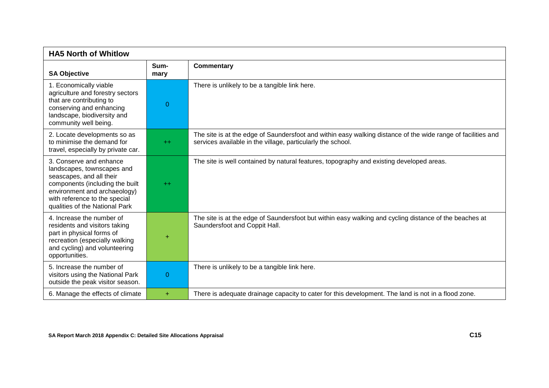| <b>HA5 North of Whitlow</b>                                                                                                                                                                                             |              |                                                                                                                                                                             |
|-------------------------------------------------------------------------------------------------------------------------------------------------------------------------------------------------------------------------|--------------|-----------------------------------------------------------------------------------------------------------------------------------------------------------------------------|
| <b>SA Objective</b>                                                                                                                                                                                                     | Sum-<br>mary | <b>Commentary</b>                                                                                                                                                           |
| 1. Economically viable<br>agriculture and forestry sectors<br>that are contributing to<br>conserving and enhancing<br>landscape, biodiversity and<br>community well being.                                              | 0            | There is unlikely to be a tangible link here.                                                                                                                               |
| 2. Locate developments so as<br>to minimise the demand for<br>travel, especially by private car.                                                                                                                        | $+$          | The site is at the edge of Saundersfoot and within easy walking distance of the wide range of facilities and<br>services available in the village, particularly the school. |
| 3. Conserve and enhance<br>landscapes, townscapes and<br>seascapes, and all their<br>components (including the built<br>environment and archaeology)<br>with reference to the special<br>qualities of the National Park | $++$         | The site is well contained by natural features, topography and existing developed areas.                                                                                    |
| 4. Increase the number of<br>residents and visitors taking<br>part in physical forms of<br>recreation (especially walking<br>and cycling) and volunteering<br>opportunities.                                            | $\ddot{}$    | The site is at the edge of Saundersfoot but within easy walking and cycling distance of the beaches at<br>Saundersfoot and Coppit Hall.                                     |
| 5. Increase the number of<br>visitors using the National Park<br>outside the peak visitor season.                                                                                                                       | 0            | There is unlikely to be a tangible link here.                                                                                                                               |
| 6. Manage the effects of climate                                                                                                                                                                                        | ÷.           | There is adequate drainage capacity to cater for this development. The land is not in a flood zone.                                                                         |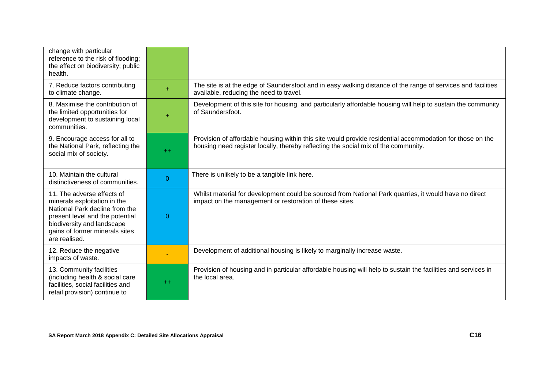| change with particular<br>reference to the risk of flooding;<br>the effect on biodiversity; public<br>health.                                                                                                    |           |                                                                                                                                                                                                 |
|------------------------------------------------------------------------------------------------------------------------------------------------------------------------------------------------------------------|-----------|-------------------------------------------------------------------------------------------------------------------------------------------------------------------------------------------------|
| 7. Reduce factors contributing<br>to climate change.                                                                                                                                                             | ÷         | The site is at the edge of Saundersfoot and in easy walking distance of the range of services and facilities<br>available, reducing the need to travel.                                         |
| 8. Maximise the contribution of<br>the limited opportunities for<br>development to sustaining local<br>communities.                                                                                              | $\ddot{}$ | Development of this site for housing, and particularly affordable housing will help to sustain the community<br>of Saundersfoot.                                                                |
| 9. Encourage access for all to<br>the National Park, reflecting the<br>social mix of society.                                                                                                                    | $++$      | Provision of affordable housing within this site would provide residential accommodation for those on the<br>housing need register locally, thereby reflecting the social mix of the community. |
| 10. Maintain the cultural<br>distinctiveness of communities.                                                                                                                                                     | $\Omega$  | There is unlikely to be a tangible link here.                                                                                                                                                   |
| 11. The adverse effects of<br>minerals exploitation in the<br>National Park decline from the<br>present level and the potential<br>biodiversity and landscape<br>gains of former minerals sites<br>are realised. | $\Omega$  | Whilst material for development could be sourced from National Park quarries, it would have no direct<br>impact on the management or restoration of these sites.                                |
| 12. Reduce the negative<br>impacts of waste.                                                                                                                                                                     |           | Development of additional housing is likely to marginally increase waste.                                                                                                                       |
| 13. Community facilities<br>(including health & social care<br>facilities, social facilities and<br>retail provision) continue to                                                                                | $+$       | Provision of housing and in particular affordable housing will help to sustain the facilities and services in<br>the local area.                                                                |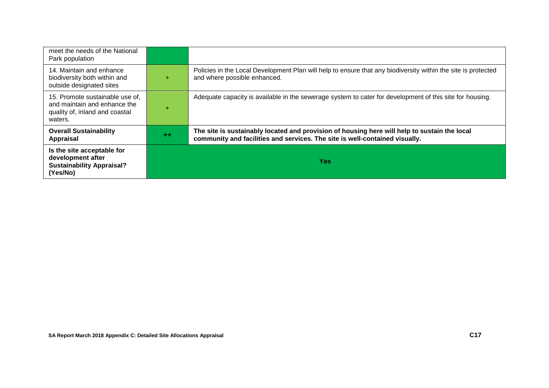| meet the needs of the National<br>Park population                                                            |           |                                                                                                                                                                             |
|--------------------------------------------------------------------------------------------------------------|-----------|-----------------------------------------------------------------------------------------------------------------------------------------------------------------------------|
| 14. Maintain and enhance<br>biodiversity both within and<br>outside designated sites                         |           | Policies in the Local Development Plan will help to ensure that any biodiversity within the site is protected<br>and where possible enhanced.                               |
| 15. Promote sustainable use of,<br>and maintain and enhance the<br>quality of, inland and coastal<br>waters. | $\ddot{}$ | Adequate capacity is available in the sewerage system to cater for development of this site for housing.                                                                    |
| <b>Overall Sustainability</b><br>Appraisal                                                                   | $+ +$     | The site is sustainably located and provision of housing here will help to sustain the local<br>community and facilities and services. The site is well-contained visually. |
| Is the site acceptable for<br>development after<br><b>Sustainability Appraisal?</b><br>(Yes/No)              |           | <b>Yes</b>                                                                                                                                                                  |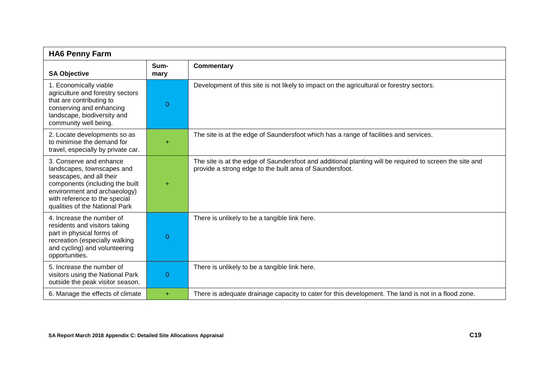| <b>HA6 Penny Farm</b>                                                                                                                                                                                                   |              |                                                                                                                                                                     |
|-------------------------------------------------------------------------------------------------------------------------------------------------------------------------------------------------------------------------|--------------|---------------------------------------------------------------------------------------------------------------------------------------------------------------------|
| <b>SA Objective</b>                                                                                                                                                                                                     | Sum-<br>mary | <b>Commentary</b>                                                                                                                                                   |
| 1. Economically viable<br>agriculture and forestry sectors<br>that are contributing to<br>conserving and enhancing<br>landscape, biodiversity and<br>community well being.                                              | 0            | Development of this site is not likely to impact on the agricultural or forestry sectors.                                                                           |
| 2. Locate developments so as<br>to minimise the demand for<br>travel, especially by private car.                                                                                                                        | ÷            | The site is at the edge of Saundersfoot which has a range of facilities and services.                                                                               |
| 3. Conserve and enhance<br>landscapes, townscapes and<br>seascapes, and all their<br>components (including the built<br>environment and archaeology)<br>with reference to the special<br>qualities of the National Park | ÷            | The site is at the edge of Saundersfoot and additional planting will be required to screen the site and<br>provide a strong edge to the built area of Saundersfoot. |
| 4. Increase the number of<br>residents and visitors taking<br>part in physical forms of<br>recreation (especially walking<br>and cycling) and volunteering<br>opportunities.                                            | 0            | There is unlikely to be a tangible link here.                                                                                                                       |
| 5. Increase the number of<br>visitors using the National Park<br>outside the peak visitor season.                                                                                                                       | 0            | There is unlikely to be a tangible link here.                                                                                                                       |
| 6. Manage the effects of climate                                                                                                                                                                                        | ÷            | There is adequate drainage capacity to cater for this development. The land is not in a flood zone.                                                                 |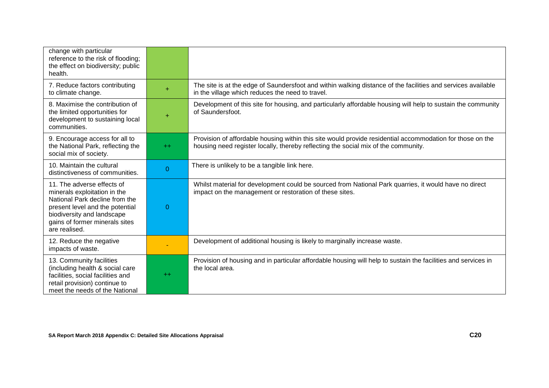| change with particular<br>reference to the risk of flooding;<br>the effect on biodiversity; public<br>health.                                                                                                    |                |                                                                                                                                                                                                 |
|------------------------------------------------------------------------------------------------------------------------------------------------------------------------------------------------------------------|----------------|-------------------------------------------------------------------------------------------------------------------------------------------------------------------------------------------------|
| 7. Reduce factors contributing<br>to climate change.                                                                                                                                                             |                | The site is at the edge of Saundersfoot and within walking distance of the facilities and services available<br>in the village which reduces the need to travel.                                |
| 8. Maximise the contribution of<br>the limited opportunities for<br>development to sustaining local<br>communities.                                                                                              | $\ddot{}$      | Development of this site for housing, and particularly affordable housing will help to sustain the community<br>of Saundersfoot.                                                                |
| 9. Encourage access for all to<br>the National Park, reflecting the<br>social mix of society.                                                                                                                    | $++$           | Provision of affordable housing within this site would provide residential accommodation for those on the<br>housing need register locally, thereby reflecting the social mix of the community. |
| 10. Maintain the cultural<br>distinctiveness of communities.                                                                                                                                                     | $\overline{0}$ | There is unlikely to be a tangible link here.                                                                                                                                                   |
| 11. The adverse effects of<br>minerals exploitation in the<br>National Park decline from the<br>present level and the potential<br>biodiversity and landscape<br>gains of former minerals sites<br>are realised. | $\Omega$       | Whilst material for development could be sourced from National Park quarries, it would have no direct<br>impact on the management or restoration of these sites.                                |
| 12. Reduce the negative<br>impacts of waste.                                                                                                                                                                     |                | Development of additional housing is likely to marginally increase waste.                                                                                                                       |
| 13. Community facilities<br>(including health & social care<br>facilities, social facilities and<br>retail provision) continue to<br>meet the needs of the National                                              | $++$           | Provision of housing and in particular affordable housing will help to sustain the facilities and services in<br>the local area.                                                                |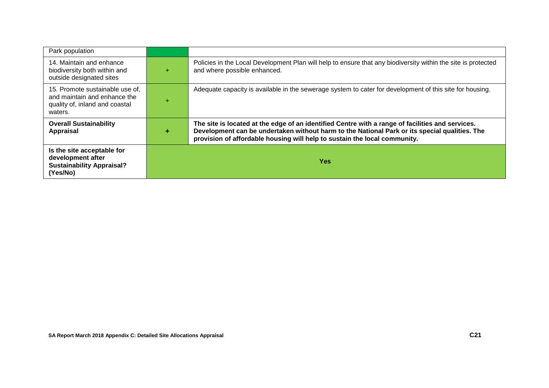| Park population                                                                                              |   |                                                                                                                                                                                                                                                                                |
|--------------------------------------------------------------------------------------------------------------|---|--------------------------------------------------------------------------------------------------------------------------------------------------------------------------------------------------------------------------------------------------------------------------------|
| 14. Maintain and enhance<br>biodiversity both within and<br>outside designated sites                         | ÷ | Policies in the Local Development Plan will help to ensure that any biodiversity within the site is protected<br>and where possible enhanced.                                                                                                                                  |
| 15. Promote sustainable use of,<br>and maintain and enhance the<br>quality of, inland and coastal<br>waters. |   | Adequate capacity is available in the sewerage system to cater for development of this site for housing.                                                                                                                                                                       |
| <b>Overall Sustainability</b><br><b>Appraisal</b>                                                            | ÷ | The site is located at the edge of an identified Centre with a range of facilities and services.<br>Development can be undertaken without harm to the National Park or its special qualities. The<br>provision of affordable housing will help to sustain the local community. |
| Is the site acceptable for<br>development after<br><b>Sustainability Appraisal?</b><br>(Yes/No)              |   | Yes:                                                                                                                                                                                                                                                                           |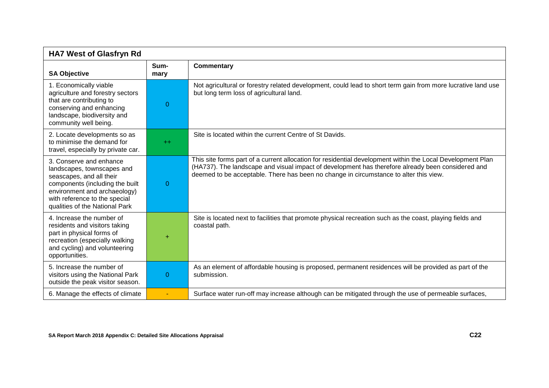| <b>HA7 West of Glasfryn Rd</b>                                                                                                                                                                                          |                |                                                                                                                                                                                                                                                                                                          |
|-------------------------------------------------------------------------------------------------------------------------------------------------------------------------------------------------------------------------|----------------|----------------------------------------------------------------------------------------------------------------------------------------------------------------------------------------------------------------------------------------------------------------------------------------------------------|
| <b>SA Objective</b>                                                                                                                                                                                                     | Sum-<br>mary   | <b>Commentary</b>                                                                                                                                                                                                                                                                                        |
| 1. Economically viable<br>agriculture and forestry sectors<br>that are contributing to<br>conserving and enhancing<br>landscape, biodiversity and<br>community well being.                                              | $\overline{0}$ | Not agricultural or forestry related development, could lead to short term gain from more lucrative land use<br>but long term loss of agricultural land.                                                                                                                                                 |
| 2. Locate developments so as<br>to minimise the demand for<br>travel, especially by private car.                                                                                                                        | $+$            | Site is located within the current Centre of St Davids.                                                                                                                                                                                                                                                  |
| 3. Conserve and enhance<br>landscapes, townscapes and<br>seascapes, and all their<br>components (including the built<br>environment and archaeology)<br>with reference to the special<br>qualities of the National Park | $\Omega$       | This site forms part of a current allocation for residential development within the Local Development Plan<br>(HA737). The landscape and visual impact of development has therefore already been considered and<br>deemed to be acceptable. There has been no change in circumstance to alter this view. |
| 4. Increase the number of<br>residents and visitors taking<br>part in physical forms of<br>recreation (especially walking<br>and cycling) and volunteering<br>opportunities.                                            |                | Site is located next to facilities that promote physical recreation such as the coast, playing fields and<br>coastal path.                                                                                                                                                                               |
| 5. Increase the number of<br>visitors using the National Park<br>outside the peak visitor season.                                                                                                                       | $\Omega$       | As an element of affordable housing is proposed, permanent residences will be provided as part of the<br>submission.                                                                                                                                                                                     |
| 6. Manage the effects of climate                                                                                                                                                                                        |                | Surface water run-off may increase although can be mitigated through the use of permeable surfaces,                                                                                                                                                                                                      |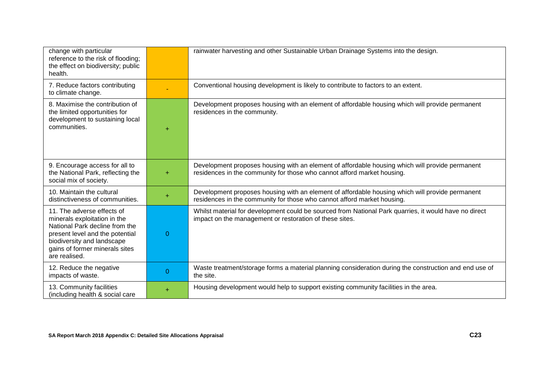| change with particular<br>reference to the risk of flooding;<br>the effect on biodiversity; public<br>health.                                                                                                    |                | rainwater harvesting and other Sustainable Urban Drainage Systems into the design.                                                                                         |
|------------------------------------------------------------------------------------------------------------------------------------------------------------------------------------------------------------------|----------------|----------------------------------------------------------------------------------------------------------------------------------------------------------------------------|
| 7. Reduce factors contributing<br>to climate change.                                                                                                                                                             |                | Conventional housing development is likely to contribute to factors to an extent.                                                                                          |
| 8. Maximise the contribution of<br>the limited opportunities for<br>development to sustaining local<br>communities.                                                                                              | $\ddot{}$      | Development proposes housing with an element of affordable housing which will provide permanent<br>residences in the community.                                            |
| 9. Encourage access for all to<br>the National Park, reflecting the<br>social mix of society.                                                                                                                    | $\ddot{}$      | Development proposes housing with an element of affordable housing which will provide permanent<br>residences in the community for those who cannot afford market housing. |
| 10. Maintain the cultural<br>distinctiveness of communities.                                                                                                                                                     | $\ddot{}$      | Development proposes housing with an element of affordable housing which will provide permanent<br>residences in the community for those who cannot afford market housing. |
| 11. The adverse effects of<br>minerals exploitation in the<br>National Park decline from the<br>present level and the potential<br>biodiversity and landscape<br>gains of former minerals sites<br>are realised. | $\overline{0}$ | Whilst material for development could be sourced from National Park quarries, it would have no direct<br>impact on the management or restoration of these sites.           |
| 12. Reduce the negative<br>impacts of waste.                                                                                                                                                                     | $\Omega$       | Waste treatment/storage forms a material planning consideration during the construction and end use of<br>the site.                                                        |
| 13. Community facilities<br>(including health & social care                                                                                                                                                      | ÷              | Housing development would help to support existing community facilities in the area.                                                                                       |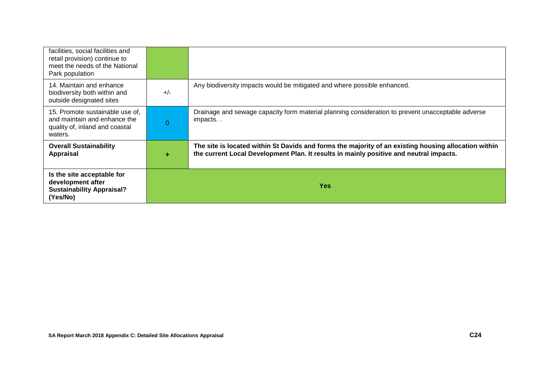| facilities, social facilities and<br>retail provision) continue to<br>meet the needs of the National<br>Park population |          |                                                                                                                                                                                                |
|-------------------------------------------------------------------------------------------------------------------------|----------|------------------------------------------------------------------------------------------------------------------------------------------------------------------------------------------------|
| 14. Maintain and enhance<br>biodiversity both within and<br>outside designated sites                                    | $+/-$    | Any biodiversity impacts would be mitigated and where possible enhanced.                                                                                                                       |
| 15. Promote sustainable use of.<br>and maintain and enhance the<br>quality of, inland and coastal<br>waters.            | $\Omega$ | Drainage and sewage capacity form material planning consideration to prevent unacceptable adverse<br>impacts                                                                                   |
| <b>Overall Sustainability</b><br>Appraisal                                                                              | ÷        | The site is located within St Davids and forms the majority of an existing housing allocation within<br>the current Local Development Plan. It results in mainly positive and neutral impacts. |
| Is the site acceptable for<br>development after<br><b>Sustainability Appraisal?</b><br>(Yes/No)                         |          | Yes                                                                                                                                                                                            |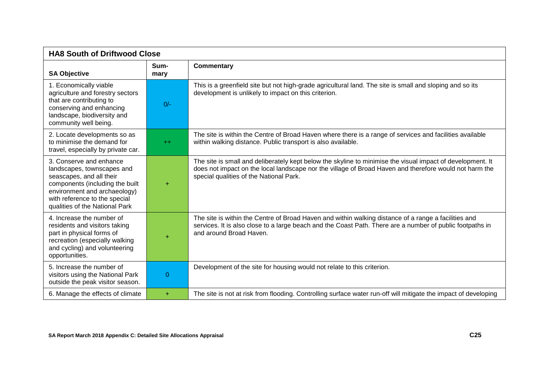| <b>HA8 South of Driftwood Close</b>                                                                                                                                                                                     |              |                                                                                                                                                                                                                                                                 |
|-------------------------------------------------------------------------------------------------------------------------------------------------------------------------------------------------------------------------|--------------|-----------------------------------------------------------------------------------------------------------------------------------------------------------------------------------------------------------------------------------------------------------------|
| <b>SA Objective</b>                                                                                                                                                                                                     | Sum-<br>mary | <b>Commentary</b>                                                                                                                                                                                                                                               |
| 1. Economically viable<br>agriculture and forestry sectors<br>that are contributing to<br>conserving and enhancing<br>landscape, biodiversity and<br>community well being.                                              | $0/-$        | This is a greenfield site but not high-grade agricultural land. The site is small and sloping and so its<br>development is unlikely to impact on this criterion.                                                                                                |
| 2. Locate developments so as<br>to minimise the demand for<br>travel, especially by private car.                                                                                                                        | $++$         | The site is within the Centre of Broad Haven where there is a range of services and facilities available<br>within walking distance. Public transport is also available.                                                                                        |
| 3. Conserve and enhance<br>landscapes, townscapes and<br>seascapes, and all their<br>components (including the built<br>environment and archaeology)<br>with reference to the special<br>qualities of the National Park | ÷            | The site is small and deliberately kept below the skyline to minimise the visual impact of development. It<br>does not impact on the local landscape nor the village of Broad Haven and therefore would not harm the<br>special qualities of the National Park. |
| 4. Increase the number of<br>residents and visitors taking<br>part in physical forms of<br>recreation (especially walking<br>and cycling) and volunteering<br>opportunities.                                            |              | The site is within the Centre of Broad Haven and within walking distance of a range a facilities and<br>services. It is also close to a large beach and the Coast Path. There are a number of public footpaths in<br>and around Broad Haven.                    |
| 5. Increase the number of<br>visitors using the National Park<br>outside the peak visitor season.                                                                                                                       | $\Omega$     | Development of the site for housing would not relate to this criterion.                                                                                                                                                                                         |
| 6. Manage the effects of climate                                                                                                                                                                                        | ÷.           | The site is not at risk from flooding. Controlling surface water run-off will mitigate the impact of developing                                                                                                                                                 |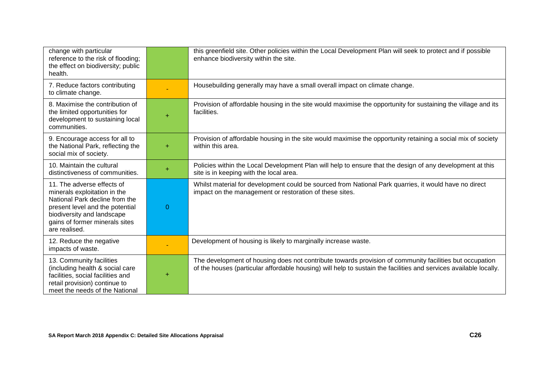| change with particular<br>reference to the risk of flooding;<br>the effect on biodiversity; public<br>health.                                                                                                    |           | this greenfield site. Other policies within the Local Development Plan will seek to protect and if possible<br>enhance biodiversity within the site.                                                                         |
|------------------------------------------------------------------------------------------------------------------------------------------------------------------------------------------------------------------|-----------|------------------------------------------------------------------------------------------------------------------------------------------------------------------------------------------------------------------------------|
| 7. Reduce factors contributing<br>to climate change.                                                                                                                                                             |           | Housebuilding generally may have a small overall impact on climate change.                                                                                                                                                   |
| 8. Maximise the contribution of<br>the limited opportunities for<br>development to sustaining local<br>communities.                                                                                              | $\ddot{}$ | Provision of affordable housing in the site would maximise the opportunity for sustaining the village and its<br>facilities.                                                                                                 |
| 9. Encourage access for all to<br>the National Park, reflecting the<br>social mix of society.                                                                                                                    | ÷         | Provision of affordable housing in the site would maximise the opportunity retaining a social mix of society<br>within this area.                                                                                            |
| 10. Maintain the cultural<br>distinctiveness of communities.                                                                                                                                                     | ÷         | Policies within the Local Development Plan will help to ensure that the design of any development at this<br>site is in keeping with the local area.                                                                         |
| 11. The adverse effects of<br>minerals exploitation in the<br>National Park decline from the<br>present level and the potential<br>biodiversity and landscape<br>gains of former minerals sites<br>are realised. | $\Omega$  | Whilst material for development could be sourced from National Park quarries, it would have no direct<br>impact on the management or restoration of these sites.                                                             |
| 12. Reduce the negative<br>impacts of waste.                                                                                                                                                                     |           | Development of housing is likely to marginally increase waste.                                                                                                                                                               |
| 13. Community facilities<br>(including health & social care<br>facilities, social facilities and<br>retail provision) continue to<br>meet the needs of the National                                              | ÷         | The development of housing does not contribute towards provision of community facilities but occupation<br>of the houses (particular affordable housing) will help to sustain the facilities and services available locally. |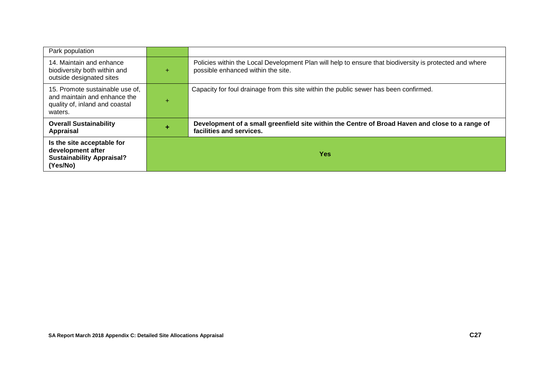| Park population                                                                                              |    |                                                                                                                                               |
|--------------------------------------------------------------------------------------------------------------|----|-----------------------------------------------------------------------------------------------------------------------------------------------|
| 14. Maintain and enhance<br>biodiversity both within and<br>outside designated sites                         | ÷. | Policies within the Local Development Plan will help to ensure that biodiversity is protected and where<br>possible enhanced within the site. |
| 15. Promote sustainable use of,<br>and maintain and enhance the<br>quality of, inland and coastal<br>waters. | ÷  | Capacity for foul drainage from this site within the public sewer has been confirmed.                                                         |
| <b>Overall Sustainability</b><br>Appraisal                                                                   |    | Development of a small greenfield site within the Centre of Broad Haven and close to a range of<br>facilities and services.                   |
| Is the site acceptable for<br>development after<br><b>Sustainability Appraisal?</b><br>(Yes/No)              |    | <b>Yes</b>                                                                                                                                    |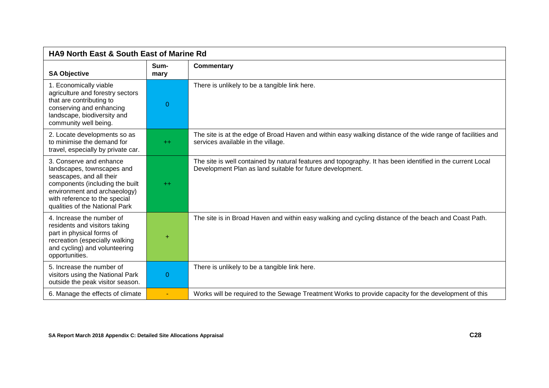| <b>HA9 North East &amp; South East of Marine Rd</b>                                                                                                                                                                     |                |                                                                                                                                                                         |
|-------------------------------------------------------------------------------------------------------------------------------------------------------------------------------------------------------------------------|----------------|-------------------------------------------------------------------------------------------------------------------------------------------------------------------------|
| <b>SA Objective</b>                                                                                                                                                                                                     | Sum-<br>mary   | <b>Commentary</b>                                                                                                                                                       |
| 1. Economically viable<br>agriculture and forestry sectors<br>that are contributing to<br>conserving and enhancing<br>landscape, biodiversity and<br>community well being.                                              | $\overline{0}$ | There is unlikely to be a tangible link here.                                                                                                                           |
| 2. Locate developments so as<br>to minimise the demand for<br>travel, especially by private car.                                                                                                                        | $++$           | The site is at the edge of Broad Haven and within easy walking distance of the wide range of facilities and<br>services available in the village.                       |
| 3. Conserve and enhance<br>landscapes, townscapes and<br>seascapes, and all their<br>components (including the built<br>environment and archaeology)<br>with reference to the special<br>qualities of the National Park | $++$           | The site is well contained by natural features and topography. It has been identified in the current Local<br>Development Plan as land suitable for future development. |
| 4. Increase the number of<br>residents and visitors taking<br>part in physical forms of<br>recreation (especially walking<br>and cycling) and volunteering<br>opportunities.                                            | ÷              | The site is in Broad Haven and within easy walking and cycling distance of the beach and Coast Path.                                                                    |
| 5. Increase the number of<br>visitors using the National Park<br>outside the peak visitor season.                                                                                                                       | $\Omega$       | There is unlikely to be a tangible link here.                                                                                                                           |
| 6. Manage the effects of climate                                                                                                                                                                                        | $\sim$         | Works will be required to the Sewage Treatment Works to provide capacity for the development of this                                                                    |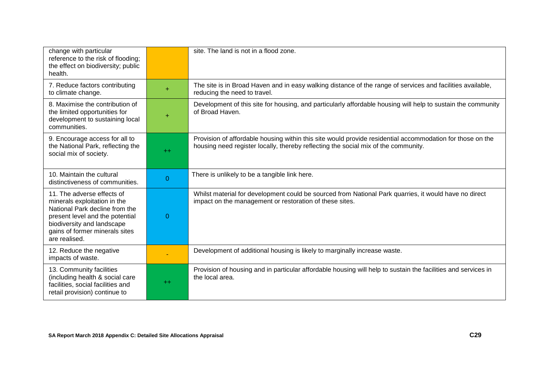| change with particular<br>reference to the risk of flooding;<br>the effect on biodiversity; public<br>health.                                                                                                    |           | site. The land is not in a flood zone.                                                                                                                                                          |
|------------------------------------------------------------------------------------------------------------------------------------------------------------------------------------------------------------------|-----------|-------------------------------------------------------------------------------------------------------------------------------------------------------------------------------------------------|
| 7. Reduce factors contributing<br>to climate change.                                                                                                                                                             | $\ddot{}$ | The site is in Broad Haven and in easy walking distance of the range of services and facilities available,<br>reducing the need to travel.                                                      |
| 8. Maximise the contribution of<br>the limited opportunities for<br>development to sustaining local<br>communities.                                                                                              | $\ddot{}$ | Development of this site for housing, and particularly affordable housing will help to sustain the community<br>of Broad Haven.                                                                 |
| 9. Encourage access for all to<br>the National Park, reflecting the<br>social mix of society.                                                                                                                    | $++$      | Provision of affordable housing within this site would provide residential accommodation for those on the<br>housing need register locally, thereby reflecting the social mix of the community. |
| 10. Maintain the cultural<br>distinctiveness of communities.                                                                                                                                                     | $\theta$  | There is unlikely to be a tangible link here.                                                                                                                                                   |
| 11. The adverse effects of<br>minerals exploitation in the<br>National Park decline from the<br>present level and the potential<br>biodiversity and landscape<br>gains of former minerals sites<br>are realised. | $\theta$  | Whilst material for development could be sourced from National Park quarries, it would have no direct<br>impact on the management or restoration of these sites.                                |
| 12. Reduce the negative<br>impacts of waste.                                                                                                                                                                     |           | Development of additional housing is likely to marginally increase waste.                                                                                                                       |
| 13. Community facilities<br>(including health & social care<br>facilities, social facilities and<br>retail provision) continue to                                                                                | $++$      | Provision of housing and in particular affordable housing will help to sustain the facilities and services in<br>the local area.                                                                |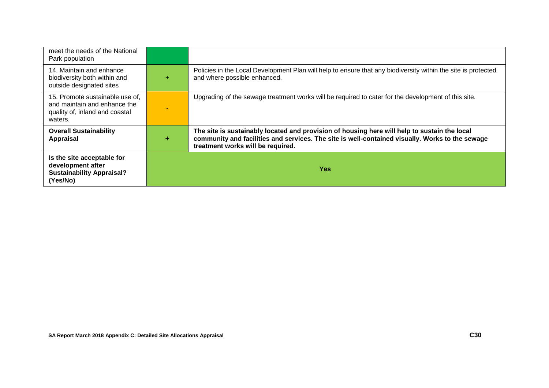| meet the needs of the National<br>Park population                                                            |       |                                                                                                                                                                                                                                      |
|--------------------------------------------------------------------------------------------------------------|-------|--------------------------------------------------------------------------------------------------------------------------------------------------------------------------------------------------------------------------------------|
| 14. Maintain and enhance<br>biodiversity both within and<br>outside designated sites                         | $\pm$ | Policies in the Local Development Plan will help to ensure that any biodiversity within the site is protected<br>and where possible enhanced.                                                                                        |
| 15. Promote sustainable use of,<br>and maintain and enhance the<br>quality of, inland and coastal<br>waters. |       | Upgrading of the sewage treatment works will be required to cater for the development of this site.                                                                                                                                  |
| <b>Overall Sustainability</b><br>Appraisal                                                                   |       | The site is sustainably located and provision of housing here will help to sustain the local<br>community and facilities and services. The site is well-contained visually. Works to the sewage<br>treatment works will be required. |
| Is the site acceptable for<br>development after<br><b>Sustainability Appraisal?</b><br>(Yes/No)              |       | <b>Yes</b>                                                                                                                                                                                                                           |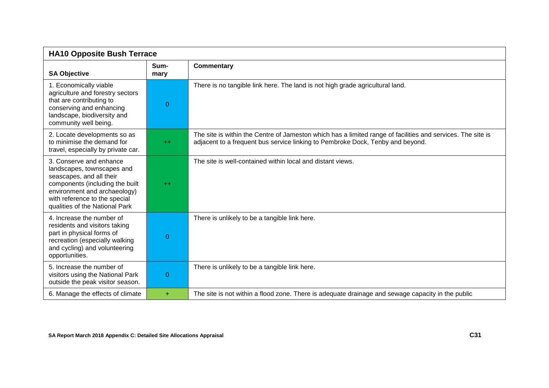| <b>HA10 Opposite Bush Terrace</b>                                                                                                                                                                                       |              |                                                                                                                                                                                               |
|-------------------------------------------------------------------------------------------------------------------------------------------------------------------------------------------------------------------------|--------------|-----------------------------------------------------------------------------------------------------------------------------------------------------------------------------------------------|
| <b>SA Objective</b>                                                                                                                                                                                                     | Sum-<br>mary | <b>Commentary</b>                                                                                                                                                                             |
| 1. Economically viable<br>agriculture and forestry sectors<br>that are contributing to<br>conserving and enhancing<br>landscape, biodiversity and<br>community well being.                                              | 0            | There is no tangible link here. The land is not high grade agricultural land.                                                                                                                 |
| 2. Locate developments so as<br>to minimise the demand for<br>travel, especially by private car.                                                                                                                        | $+$          | The site is within the Centre of Jameston which has a limited range of facilities and services. The site is<br>adjacent to a frequent bus service linking to Pembroke Dock, Tenby and beyond. |
| 3. Conserve and enhance<br>landscapes, townscapes and<br>seascapes, and all their<br>components (including the built<br>environment and archaeology)<br>with reference to the special<br>qualities of the National Park | $++$         | The site is well-contained within local and distant views.                                                                                                                                    |
| 4. Increase the number of<br>residents and visitors taking<br>part in physical forms of<br>recreation (especially walking<br>and cycling) and volunteering<br>opportunities.                                            | 0            | There is unlikely to be a tangible link here.                                                                                                                                                 |
| 5. Increase the number of<br>visitors using the National Park<br>outside the peak visitor season.                                                                                                                       | 0            | There is unlikely to be a tangible link here.                                                                                                                                                 |
| 6. Manage the effects of climate                                                                                                                                                                                        | ÷            | The site is not within a flood zone. There is adequate drainage and sewage capacity in the public                                                                                             |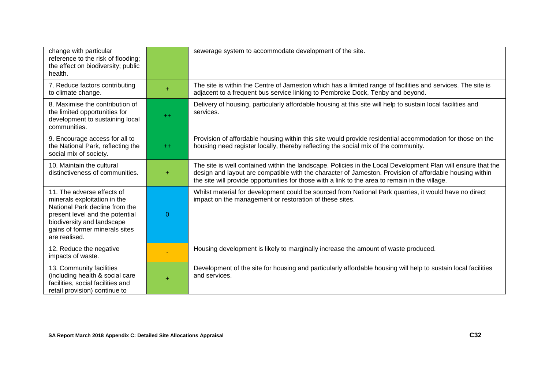| change with particular<br>reference to the risk of flooding;<br>the effect on biodiversity; public<br>health.                                                                                                    |          | sewerage system to accommodate development of the site.                                                                                                                                                                                                                                                                    |
|------------------------------------------------------------------------------------------------------------------------------------------------------------------------------------------------------------------|----------|----------------------------------------------------------------------------------------------------------------------------------------------------------------------------------------------------------------------------------------------------------------------------------------------------------------------------|
| 7. Reduce factors contributing<br>to climate change.                                                                                                                                                             |          | The site is within the Centre of Jameston which has a limited range of facilities and services. The site is<br>adjacent to a frequent bus service linking to Pembroke Dock, Tenby and beyond.                                                                                                                              |
| 8. Maximise the contribution of<br>the limited opportunities for<br>development to sustaining local<br>communities.                                                                                              | $++$     | Delivery of housing, particularly affordable housing at this site will help to sustain local facilities and<br>services.                                                                                                                                                                                                   |
| 9. Encourage access for all to<br>the National Park, reflecting the<br>social mix of society.                                                                                                                    | $+$      | Provision of affordable housing within this site would provide residential accommodation for those on the<br>housing need register locally, thereby reflecting the social mix of the community.                                                                                                                            |
| 10. Maintain the cultural<br>distinctiveness of communities.                                                                                                                                                     | ÷        | The site is well contained within the landscape. Policies in the Local Development Plan will ensure that the<br>design and layout are compatible with the character of Jameston. Provision of affordable housing within<br>the site will provide opportunities for those with a link to the area to remain in the village. |
| 11. The adverse effects of<br>minerals exploitation in the<br>National Park decline from the<br>present level and the potential<br>biodiversity and landscape<br>gains of former minerals sites<br>are realised. | $\Omega$ | Whilst material for development could be sourced from National Park quarries, it would have no direct<br>impact on the management or restoration of these sites.                                                                                                                                                           |
| 12. Reduce the negative<br>impacts of waste.                                                                                                                                                                     |          | Housing development is likely to marginally increase the amount of waste produced.                                                                                                                                                                                                                                         |
| 13. Community facilities<br>(including health & social care<br>facilities, social facilities and<br>retail provision) continue to                                                                                |          | Development of the site for housing and particularly affordable housing will help to sustain local facilities<br>and services.                                                                                                                                                                                             |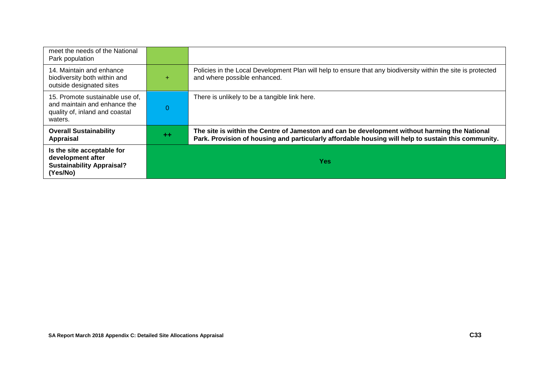| meet the needs of the National<br>Park population                                                            |          |                                                                                                                                                                                                      |
|--------------------------------------------------------------------------------------------------------------|----------|------------------------------------------------------------------------------------------------------------------------------------------------------------------------------------------------------|
| 14. Maintain and enhance<br>biodiversity both within and<br>outside designated sites                         | ÷        | Policies in the Local Development Plan will help to ensure that any biodiversity within the site is protected<br>and where possible enhanced.                                                        |
| 15. Promote sustainable use of,<br>and maintain and enhance the<br>quality of, inland and coastal<br>waters. | $\Omega$ | There is unlikely to be a tangible link here.                                                                                                                                                        |
| <b>Overall Sustainability</b><br>Appraisal                                                                   | $+ +$    | The site is within the Centre of Jameston and can be development without harming the National<br>Park. Provision of housing and particularly affordable housing will help to sustain this community. |
| Is the site acceptable for<br>development after<br><b>Sustainability Appraisal?</b><br>(Yes/No)              |          | <b>Yes</b>                                                                                                                                                                                           |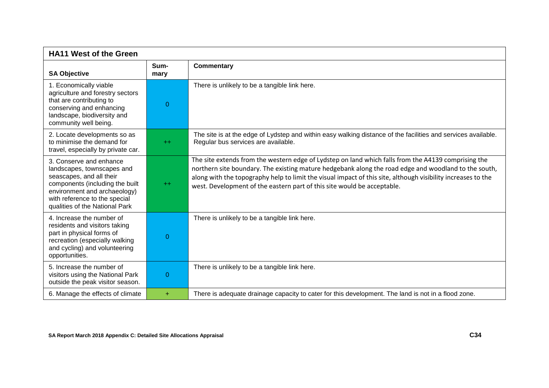| <b>HA11 West of the Green</b>                                                                                                                                                                                           |              |                                                                                                                                                                                                                                                                                                                                                                                                        |
|-------------------------------------------------------------------------------------------------------------------------------------------------------------------------------------------------------------------------|--------------|--------------------------------------------------------------------------------------------------------------------------------------------------------------------------------------------------------------------------------------------------------------------------------------------------------------------------------------------------------------------------------------------------------|
| <b>SA Objective</b>                                                                                                                                                                                                     | Sum-<br>mary | <b>Commentary</b>                                                                                                                                                                                                                                                                                                                                                                                      |
| 1. Economically viable<br>agriculture and forestry sectors<br>that are contributing to<br>conserving and enhancing<br>landscape, biodiversity and<br>community well being.                                              | $\Omega$     | There is unlikely to be a tangible link here.                                                                                                                                                                                                                                                                                                                                                          |
| 2. Locate developments so as<br>to minimise the demand for<br>travel, especially by private car.                                                                                                                        | $++$         | The site is at the edge of Lydstep and within easy walking distance of the facilities and services available.<br>Regular bus services are available.                                                                                                                                                                                                                                                   |
| 3. Conserve and enhance<br>landscapes, townscapes and<br>seascapes, and all their<br>components (including the built<br>environment and archaeology)<br>with reference to the special<br>qualities of the National Park | $^{++}$      | The site extends from the western edge of Lydstep on land which falls from the A4139 comprising the<br>northern site boundary. The existing mature hedgebank along the road edge and woodland to the south,<br>along with the topography help to limit the visual impact of this site, although visibility increases to the<br>west. Development of the eastern part of this site would be acceptable. |
| 4. Increase the number of<br>residents and visitors taking<br>part in physical forms of<br>recreation (especially walking<br>and cycling) and volunteering<br>opportunities.                                            | 0            | There is unlikely to be a tangible link here.                                                                                                                                                                                                                                                                                                                                                          |
| 5. Increase the number of<br>visitors using the National Park<br>outside the peak visitor season.                                                                                                                       | $\Omega$     | There is unlikely to be a tangible link here.                                                                                                                                                                                                                                                                                                                                                          |
| 6. Manage the effects of climate                                                                                                                                                                                        | ÷.           | There is adequate drainage capacity to cater for this development. The land is not in a flood zone.                                                                                                                                                                                                                                                                                                    |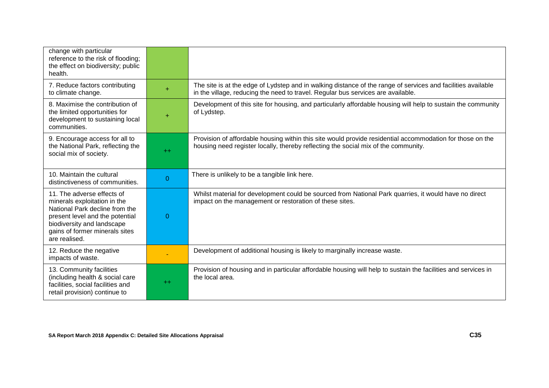| change with particular<br>reference to the risk of flooding;<br>the effect on biodiversity; public<br>health.                                                                                                    |           |                                                                                                                                                                                                  |
|------------------------------------------------------------------------------------------------------------------------------------------------------------------------------------------------------------------|-----------|--------------------------------------------------------------------------------------------------------------------------------------------------------------------------------------------------|
| 7. Reduce factors contributing<br>to climate change.                                                                                                                                                             | ÷         | The site is at the edge of Lydstep and in walking distance of the range of services and facilities available<br>in the village, reducing the need to travel. Regular bus services are available. |
| 8. Maximise the contribution of<br>the limited opportunities for<br>development to sustaining local<br>communities.                                                                                              | $\ddot{}$ | Development of this site for housing, and particularly affordable housing will help to sustain the community<br>of Lydstep.                                                                      |
| 9. Encourage access for all to<br>the National Park, reflecting the<br>social mix of society.                                                                                                                    | $++$      | Provision of affordable housing within this site would provide residential accommodation for those on the<br>housing need register locally, thereby reflecting the social mix of the community.  |
| 10. Maintain the cultural<br>distinctiveness of communities.                                                                                                                                                     | $\Omega$  | There is unlikely to be a tangible link here.                                                                                                                                                    |
| 11. The adverse effects of<br>minerals exploitation in the<br>National Park decline from the<br>present level and the potential<br>biodiversity and landscape<br>gains of former minerals sites<br>are realised. | $\Omega$  | Whilst material for development could be sourced from National Park quarries, it would have no direct<br>impact on the management or restoration of these sites.                                 |
| 12. Reduce the negative<br>impacts of waste.                                                                                                                                                                     |           | Development of additional housing is likely to marginally increase waste.                                                                                                                        |
| 13. Community facilities<br>(including health & social care<br>facilities, social facilities and<br>retail provision) continue to                                                                                | $+$       | Provision of housing and in particular affordable housing will help to sustain the facilities and services in<br>the local area.                                                                 |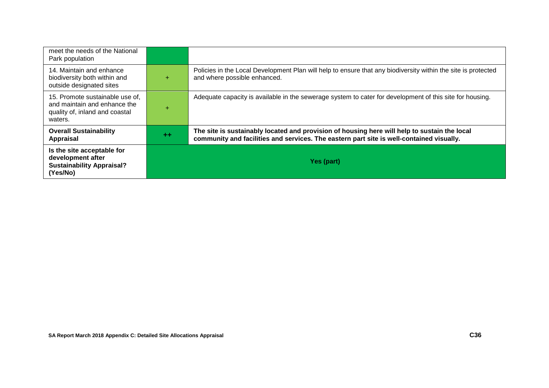| meet the needs of the National<br>Park population                                                            |       |                                                                                                                                                                                          |
|--------------------------------------------------------------------------------------------------------------|-------|------------------------------------------------------------------------------------------------------------------------------------------------------------------------------------------|
| 14. Maintain and enhance<br>biodiversity both within and<br>outside designated sites                         | ÷     | Policies in the Local Development Plan will help to ensure that any biodiversity within the site is protected<br>and where possible enhanced.                                            |
| 15. Promote sustainable use of,<br>and maintain and enhance the<br>quality of, inland and coastal<br>waters. | ÷     | Adequate capacity is available in the sewerage system to cater for development of this site for housing.                                                                                 |
| <b>Overall Sustainability</b><br>Appraisal                                                                   | $+ +$ | The site is sustainably located and provision of housing here will help to sustain the local<br>community and facilities and services. The eastern part site is well-contained visually. |
| Is the site acceptable for<br>development after<br><b>Sustainability Appraisal?</b><br>(Yes/No)              |       | Yes (part)                                                                                                                                                                               |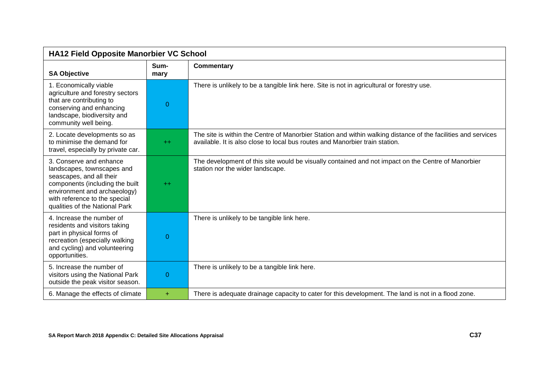| <b>HA12 Field Opposite Manorbier VC School</b>                                                                                                                                                                          |                |                                                                                                                                                                                               |
|-------------------------------------------------------------------------------------------------------------------------------------------------------------------------------------------------------------------------|----------------|-----------------------------------------------------------------------------------------------------------------------------------------------------------------------------------------------|
| <b>SA Objective</b>                                                                                                                                                                                                     | Sum-<br>mary   | <b>Commentary</b>                                                                                                                                                                             |
| 1. Economically viable<br>agriculture and forestry sectors<br>that are contributing to<br>conserving and enhancing<br>landscape, biodiversity and<br>community well being.                                              | $\overline{0}$ | There is unlikely to be a tangible link here. Site is not in agricultural or forestry use.                                                                                                    |
| 2. Locate developments so as<br>to minimise the demand for<br>travel, especially by private car.                                                                                                                        | $++$           | The site is within the Centre of Manorbier Station and within walking distance of the facilities and services<br>available. It is also close to local bus routes and Manorbier train station. |
| 3. Conserve and enhance<br>landscapes, townscapes and<br>seascapes, and all their<br>components (including the built<br>environment and archaeology)<br>with reference to the special<br>qualities of the National Park | $++$           | The development of this site would be visually contained and not impact on the Centre of Manorbier<br>station nor the wider landscape.                                                        |
| 4. Increase the number of<br>residents and visitors taking<br>part in physical forms of<br>recreation (especially walking<br>and cycling) and volunteering<br>opportunities.                                            | 0              | There is unlikely to be tangible link here.                                                                                                                                                   |
| 5. Increase the number of<br>visitors using the National Park<br>outside the peak visitor season.                                                                                                                       | $\overline{0}$ | There is unlikely to be a tangible link here.                                                                                                                                                 |
| 6. Manage the effects of climate                                                                                                                                                                                        | ÷.             | There is adequate drainage capacity to cater for this development. The land is not in a flood zone.                                                                                           |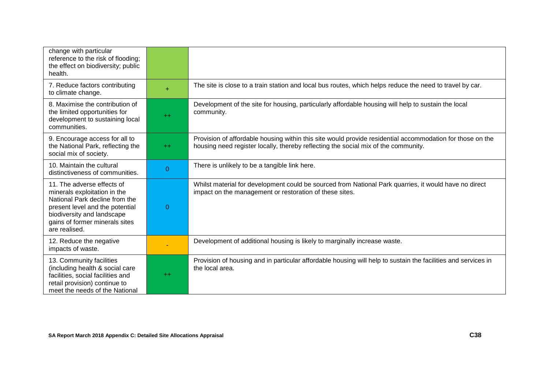| change with particular<br>reference to the risk of flooding;<br>the effect on biodiversity; public<br>health.                                                                                                    |                |                                                                                                                                                                                                 |
|------------------------------------------------------------------------------------------------------------------------------------------------------------------------------------------------------------------|----------------|-------------------------------------------------------------------------------------------------------------------------------------------------------------------------------------------------|
| 7. Reduce factors contributing<br>to climate change.                                                                                                                                                             | $+$            | The site is close to a train station and local bus routes, which helps reduce the need to travel by car.                                                                                        |
| 8. Maximise the contribution of<br>the limited opportunities for<br>development to sustaining local<br>communities.                                                                                              | $++$           | Development of the site for housing, particularly affordable housing will help to sustain the local<br>community.                                                                               |
| 9. Encourage access for all to<br>the National Park, reflecting the<br>social mix of society.                                                                                                                    | $++$           | Provision of affordable housing within this site would provide residential accommodation for those on the<br>housing need register locally, thereby reflecting the social mix of the community. |
| 10. Maintain the cultural<br>distinctiveness of communities.                                                                                                                                                     | $\overline{0}$ | There is unlikely to be a tangible link here.                                                                                                                                                   |
| 11. The adverse effects of<br>minerals exploitation in the<br>National Park decline from the<br>present level and the potential<br>biodiversity and landscape<br>gains of former minerals sites<br>are realised. | 0              | Whilst material for development could be sourced from National Park quarries, it would have no direct<br>impact on the management or restoration of these sites.                                |
| 12. Reduce the negative<br>impacts of waste.                                                                                                                                                                     |                | Development of additional housing is likely to marginally increase waste.                                                                                                                       |
| 13. Community facilities<br>(including health & social care<br>facilities, social facilities and<br>retail provision) continue to<br>meet the needs of the National                                              | $+$            | Provision of housing and in particular affordable housing will help to sustain the facilities and services in<br>the local area.                                                                |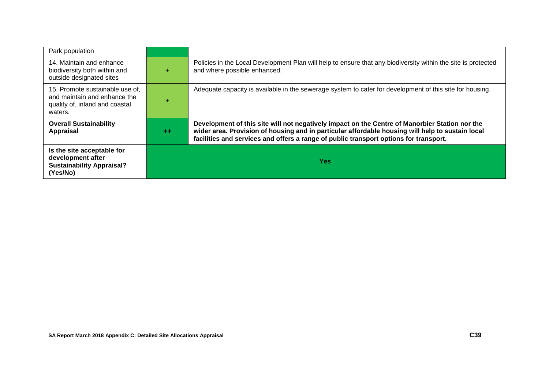| Park population                                                                                              |         |                                                                                                                                                                                                                                                                                             |
|--------------------------------------------------------------------------------------------------------------|---------|---------------------------------------------------------------------------------------------------------------------------------------------------------------------------------------------------------------------------------------------------------------------------------------------|
| 14. Maintain and enhance<br>biodiversity both within and<br>outside designated sites                         | ÷       | Policies in the Local Development Plan will help to ensure that any biodiversity within the site is protected<br>and where possible enhanced.                                                                                                                                               |
| 15. Promote sustainable use of,<br>and maintain and enhance the<br>quality of, inland and coastal<br>waters. | ÷       | Adequate capacity is available in the sewerage system to cater for development of this site for housing.                                                                                                                                                                                    |
| <b>Overall Sustainability</b><br><b>Appraisal</b>                                                            | $^{++}$ | Development of this site will not negatively impact on the Centre of Manorbier Station nor the<br>wider area. Provision of housing and in particular affordable housing will help to sustain local<br>facilities and services and offers a range of public transport options for transport. |
| Is the site acceptable for<br>development after<br><b>Sustainability Appraisal?</b><br>(Yes/No)              |         | <b>Yes</b>                                                                                                                                                                                                                                                                                  |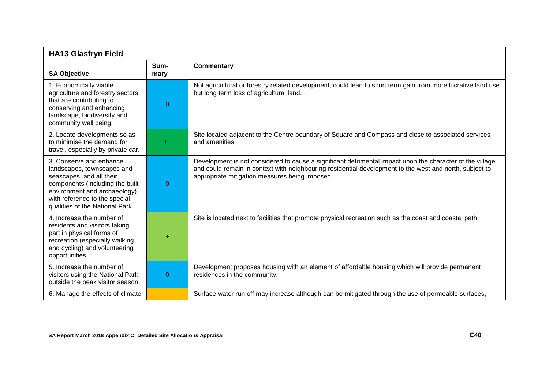| <b>HA13 Glasfryn Field</b>                                                                                                                                                                                              |              |                                                                                                                                                                                                                                                                        |
|-------------------------------------------------------------------------------------------------------------------------------------------------------------------------------------------------------------------------|--------------|------------------------------------------------------------------------------------------------------------------------------------------------------------------------------------------------------------------------------------------------------------------------|
| <b>SA Objective</b>                                                                                                                                                                                                     | Sum-<br>mary | <b>Commentary</b>                                                                                                                                                                                                                                                      |
| 1. Economically viable<br>agriculture and forestry sectors<br>that are contributing to<br>conserving and enhancing<br>landscape, biodiversity and<br>community well being.                                              | $\Omega$     | Not agricultural or forestry related development, could lead to short term gain from more lucrative land use<br>but long term loss of agricultural land.                                                                                                               |
| 2. Locate developments so as<br>to minimise the demand for<br>travel, especially by private car.                                                                                                                        | $++$         | Site located adjacent to the Centre boundary of Square and Compass and close to associated services<br>and amenities.                                                                                                                                                  |
| 3. Conserve and enhance<br>landscapes, townscapes and<br>seascapes, and all their<br>components (including the built<br>environment and archaeology)<br>with reference to the special<br>qualities of the National Park | $\Omega$     | Development is not considered to cause a significant detrimental impact upon the character of the village<br>and could remain in context with neighbouring residential development to the west and north, subject to<br>appropriate mitigation measures being imposed. |
| 4. Increase the number of<br>residents and visitors taking<br>part in physical forms of<br>recreation (especially walking<br>and cycling) and volunteering<br>opportunities.                                            | +            | Site is located next to facilities that promote physical recreation such as the coast and coastal path.                                                                                                                                                                |
| 5. Increase the number of<br>visitors using the National Park<br>outside the peak visitor season.                                                                                                                       | $\Omega$     | Development proposes housing with an element of affordable housing which will provide permanent<br>residences in the community.                                                                                                                                        |
| 6. Manage the effects of climate                                                                                                                                                                                        |              | Surface water run off may increase although can be mitigated through the use of permeable surfaces,                                                                                                                                                                    |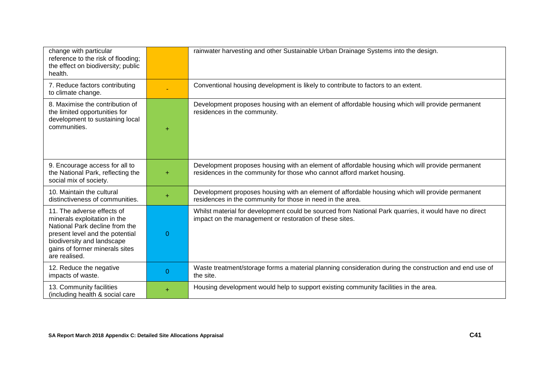| change with particular<br>reference to the risk of flooding;<br>the effect on biodiversity; public<br>health.                                                                                                    |                | rainwater harvesting and other Sustainable Urban Drainage Systems into the design.                                                                                         |
|------------------------------------------------------------------------------------------------------------------------------------------------------------------------------------------------------------------|----------------|----------------------------------------------------------------------------------------------------------------------------------------------------------------------------|
| 7. Reduce factors contributing<br>to climate change.                                                                                                                                                             |                | Conventional housing development is likely to contribute to factors to an extent.                                                                                          |
| 8. Maximise the contribution of<br>the limited opportunities for<br>development to sustaining local<br>communities.                                                                                              | ÷              | Development proposes housing with an element of affordable housing which will provide permanent<br>residences in the community.                                            |
| 9. Encourage access for all to<br>the National Park, reflecting the<br>social mix of society.                                                                                                                    | $\ddot{}$      | Development proposes housing with an element of affordable housing which will provide permanent<br>residences in the community for those who cannot afford market housing. |
| 10. Maintain the cultural<br>distinctiveness of communities.                                                                                                                                                     | $\ddot{}$      | Development proposes housing with an element of affordable housing which will provide permanent<br>residences in the community for those in need in the area.              |
| 11. The adverse effects of<br>minerals exploitation in the<br>National Park decline from the<br>present level and the potential<br>biodiversity and landscape<br>gains of former minerals sites<br>are realised. | $\overline{0}$ | Whilst material for development could be sourced from National Park quarries, it would have no direct<br>impact on the management or restoration of these sites.           |
| 12. Reduce the negative<br>impacts of waste.                                                                                                                                                                     | $\overline{0}$ | Waste treatment/storage forms a material planning consideration during the construction and end use of<br>the site.                                                        |
| 13. Community facilities<br>(including health & social care                                                                                                                                                      | $\ddot{}$      | Housing development would help to support existing community facilities in the area.                                                                                       |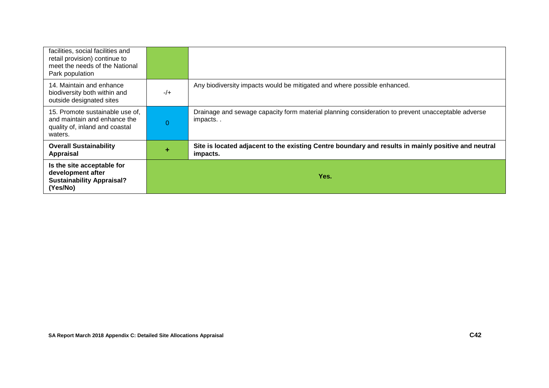| facilities, social facilities and<br>retail provision) continue to<br>meet the needs of the National<br>Park population |          |                                                                                                                 |
|-------------------------------------------------------------------------------------------------------------------------|----------|-----------------------------------------------------------------------------------------------------------------|
| 14. Maintain and enhance<br>biodiversity both within and<br>outside designated sites                                    | $-/+$    | Any biodiversity impacts would be mitigated and where possible enhanced.                                        |
| 15. Promote sustainable use of,<br>and maintain and enhance the<br>quality of, inland and coastal<br>waters.            | $\Omega$ | Drainage and sewage capacity form material planning consideration to prevent unacceptable adverse<br>impacts    |
| <b>Overall Sustainability</b><br>Appraisal                                                                              | ÷        | Site is located adjacent to the existing Centre boundary and results in mainly positive and neutral<br>impacts. |
| Is the site acceptable for<br>development after<br><b>Sustainability Appraisal?</b><br>(Yes/No)                         |          | Yes.                                                                                                            |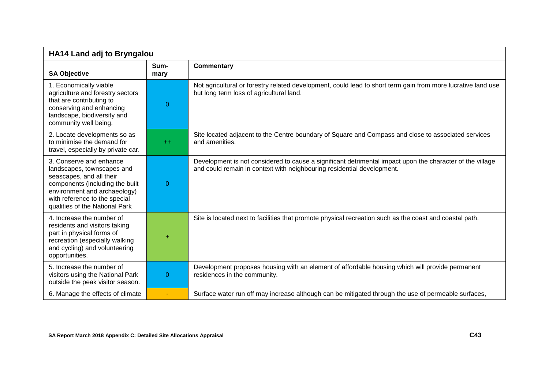| <b>HA14 Land adj to Bryngalou</b>                                                                                                                                                                                       |              |                                                                                                                                                                                     |
|-------------------------------------------------------------------------------------------------------------------------------------------------------------------------------------------------------------------------|--------------|-------------------------------------------------------------------------------------------------------------------------------------------------------------------------------------|
| <b>SA Objective</b>                                                                                                                                                                                                     | Sum-<br>mary | <b>Commentary</b>                                                                                                                                                                   |
| 1. Economically viable<br>agriculture and forestry sectors<br>that are contributing to<br>conserving and enhancing<br>landscape, biodiversity and<br>community well being.                                              | $\mathbf{0}$ | Not agricultural or forestry related development, could lead to short term gain from more lucrative land use<br>but long term loss of agricultural land.                            |
| 2. Locate developments so as<br>to minimise the demand for<br>travel, especially by private car.                                                                                                                        | $++$         | Site located adjacent to the Centre boundary of Square and Compass and close to associated services<br>and amenities.                                                               |
| 3. Conserve and enhance<br>landscapes, townscapes and<br>seascapes, and all their<br>components (including the built<br>environment and archaeology)<br>with reference to the special<br>qualities of the National Park | $\Omega$     | Development is not considered to cause a significant detrimental impact upon the character of the village<br>and could remain in context with neighbouring residential development. |
| 4. Increase the number of<br>residents and visitors taking<br>part in physical forms of<br>recreation (especially walking<br>and cycling) and volunteering<br>opportunities.                                            | +            | Site is located next to facilities that promote physical recreation such as the coast and coastal path.                                                                             |
| 5. Increase the number of<br>visitors using the National Park<br>outside the peak visitor season.                                                                                                                       | $\Omega$     | Development proposes housing with an element of affordable housing which will provide permanent<br>residences in the community.                                                     |
| 6. Manage the effects of climate                                                                                                                                                                                        |              | Surface water run off may increase although can be mitigated through the use of permeable surfaces,                                                                                 |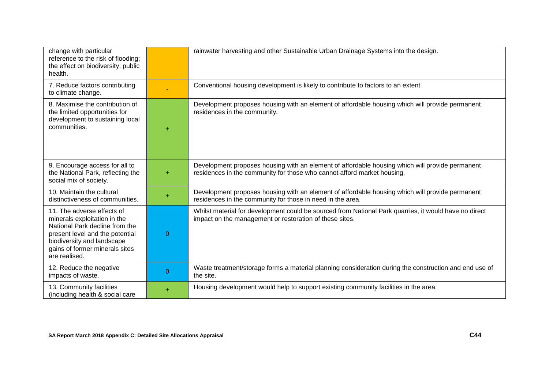| change with particular<br>reference to the risk of flooding;<br>the effect on biodiversity; public<br>health.                                                                                                    |                | rainwater harvesting and other Sustainable Urban Drainage Systems into the design.                                                                                         |
|------------------------------------------------------------------------------------------------------------------------------------------------------------------------------------------------------------------|----------------|----------------------------------------------------------------------------------------------------------------------------------------------------------------------------|
| 7. Reduce factors contributing<br>to climate change.                                                                                                                                                             |                | Conventional housing development is likely to contribute to factors to an extent.                                                                                          |
| 8. Maximise the contribution of<br>the limited opportunities for<br>development to sustaining local<br>communities.                                                                                              | ÷              | Development proposes housing with an element of affordable housing which will provide permanent<br>residences in the community.                                            |
| 9. Encourage access for all to<br>the National Park, reflecting the<br>social mix of society.                                                                                                                    | $\ddot{}$      | Development proposes housing with an element of affordable housing which will provide permanent<br>residences in the community for those who cannot afford market housing. |
| 10. Maintain the cultural<br>distinctiveness of communities.                                                                                                                                                     | $\ddot{}$      | Development proposes housing with an element of affordable housing which will provide permanent<br>residences in the community for those in need in the area.              |
| 11. The adverse effects of<br>minerals exploitation in the<br>National Park decline from the<br>present level and the potential<br>biodiversity and landscape<br>gains of former minerals sites<br>are realised. | $\overline{0}$ | Whilst material for development could be sourced from National Park quarries, it would have no direct<br>impact on the management or restoration of these sites.           |
| 12. Reduce the negative<br>impacts of waste.                                                                                                                                                                     | $\overline{0}$ | Waste treatment/storage forms a material planning consideration during the construction and end use of<br>the site.                                                        |
| 13. Community facilities<br>(including health & social care                                                                                                                                                      | $\ddot{}$      | Housing development would help to support existing community facilities in the area.                                                                                       |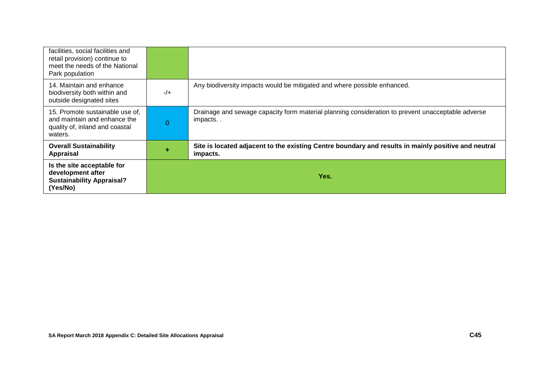| facilities, social facilities and<br>retail provision) continue to<br>meet the needs of the National<br>Park population |          |                                                                                                                 |
|-------------------------------------------------------------------------------------------------------------------------|----------|-----------------------------------------------------------------------------------------------------------------|
| 14. Maintain and enhance<br>biodiversity both within and<br>outside designated sites                                    | $-/+$    | Any biodiversity impacts would be mitigated and where possible enhanced.                                        |
| 15. Promote sustainable use of,<br>and maintain and enhance the<br>quality of, inland and coastal<br>waters.            | $\Omega$ | Drainage and sewage capacity form material planning consideration to prevent unacceptable adverse<br>impacts    |
| <b>Overall Sustainability</b><br>Appraisal                                                                              | ÷        | Site is located adjacent to the existing Centre boundary and results in mainly positive and neutral<br>impacts. |
| Is the site acceptable for<br>development after<br><b>Sustainability Appraisal?</b><br>(Yes/No)                         |          | Yes.                                                                                                            |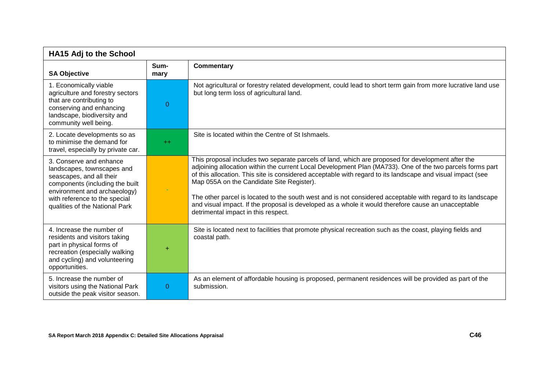| <b>HA15 Adj to the School</b>                                                                                                                                                                                           |              |                                                                                                                                                                                                                                                                                                                                                                                                                                                                                                                                                                                                                                        |
|-------------------------------------------------------------------------------------------------------------------------------------------------------------------------------------------------------------------------|--------------|----------------------------------------------------------------------------------------------------------------------------------------------------------------------------------------------------------------------------------------------------------------------------------------------------------------------------------------------------------------------------------------------------------------------------------------------------------------------------------------------------------------------------------------------------------------------------------------------------------------------------------------|
| <b>SA Objective</b>                                                                                                                                                                                                     | Sum-<br>mary | <b>Commentary</b>                                                                                                                                                                                                                                                                                                                                                                                                                                                                                                                                                                                                                      |
| 1. Economically viable<br>agriculture and forestry sectors<br>that are contributing to<br>conserving and enhancing<br>landscape, biodiversity and<br>community well being.                                              | 0            | Not agricultural or forestry related development, could lead to short term gain from more lucrative land use<br>but long term loss of agricultural land.                                                                                                                                                                                                                                                                                                                                                                                                                                                                               |
| 2. Locate developments so as<br>to minimise the demand for<br>travel, especially by private car.                                                                                                                        | $++$         | Site is located within the Centre of St Ishmaels.                                                                                                                                                                                                                                                                                                                                                                                                                                                                                                                                                                                      |
| 3. Conserve and enhance<br>landscapes, townscapes and<br>seascapes, and all their<br>components (including the built<br>environment and archaeology)<br>with reference to the special<br>qualities of the National Park |              | This proposal includes two separate parcels of land, which are proposed for development after the<br>adjoining allocation within the current Local Development Plan (MA733). One of the two parcels forms part<br>of this allocation. This site is considered acceptable with regard to its landscape and visual impact (see<br>Map 055A on the Candidate Site Register).<br>The other parcel is located to the south west and is not considered acceptable with regard to its landscape<br>and visual impact. If the proposal is developed as a whole it would therefore cause an unacceptable<br>detrimental impact in this respect. |
| 4. Increase the number of<br>residents and visitors taking<br>part in physical forms of<br>recreation (especially walking<br>and cycling) and volunteering<br>opportunities.                                            | $\ddot{}$    | Site is located next to facilities that promote physical recreation such as the coast, playing fields and<br>coastal path.                                                                                                                                                                                                                                                                                                                                                                                                                                                                                                             |
| 5. Increase the number of<br>visitors using the National Park<br>outside the peak visitor season.                                                                                                                       | $\Omega$     | As an element of affordable housing is proposed, permanent residences will be provided as part of the<br>submission.                                                                                                                                                                                                                                                                                                                                                                                                                                                                                                                   |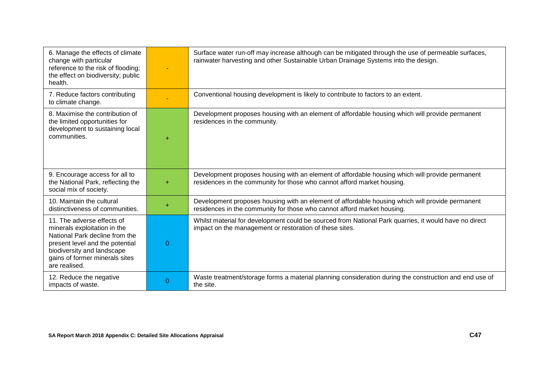| 6. Manage the effects of climate<br>change with particular<br>reference to the risk of flooding;<br>the effect on biodiversity; public<br>health.                                                                |          | Surface water run-off may increase although can be mitigated through the use of permeable surfaces,<br>rainwater harvesting and other Sustainable Urban Drainage Systems into the design. |
|------------------------------------------------------------------------------------------------------------------------------------------------------------------------------------------------------------------|----------|-------------------------------------------------------------------------------------------------------------------------------------------------------------------------------------------|
| 7. Reduce factors contributing<br>to climate change.                                                                                                                                                             |          | Conventional housing development is likely to contribute to factors to an extent.                                                                                                         |
| 8. Maximise the contribution of<br>the limited opportunities for<br>development to sustaining local<br>communities.                                                                                              | ÷        | Development proposes housing with an element of affordable housing which will provide permanent<br>residences in the community.                                                           |
| 9. Encourage access for all to<br>the National Park, reflecting the<br>social mix of society.                                                                                                                    | $+$      | Development proposes housing with an element of affordable housing which will provide permanent<br>residences in the community for those who cannot afford market housing.                |
| 10. Maintain the cultural<br>distinctiveness of communities.                                                                                                                                                     | ÷        | Development proposes housing with an element of affordable housing which will provide permanent<br>residences in the community for those who cannot afford market housing.                |
| 11. The adverse effects of<br>minerals exploitation in the<br>National Park decline from the<br>present level and the potential<br>biodiversity and landscape<br>gains of former minerals sites<br>are realised. | $\Omega$ | Whilst material for development could be sourced from National Park quarries, it would have no direct<br>impact on the management or restoration of these sites.                          |
| 12. Reduce the negative<br>impacts of waste.                                                                                                                                                                     | 0        | Waste treatment/storage forms a material planning consideration during the construction and end use of<br>the site.                                                                       |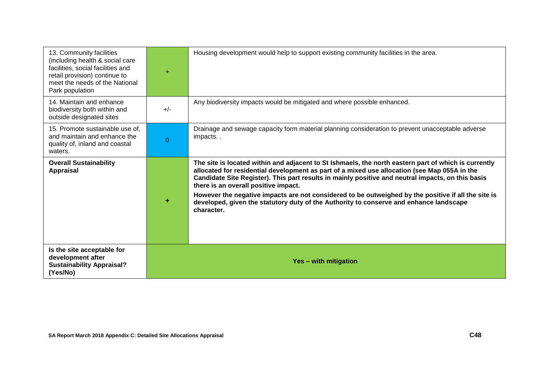| 13. Community facilities<br>(including health & social care<br>facilities, social facilities and<br>retail provision) continue to<br>meet the needs of the National<br>Park population | ÷                     | Housing development would help to support existing community facilities in the area.                                                                                                                                                                                                                                                                                                                                                                                                                                                                             |
|----------------------------------------------------------------------------------------------------------------------------------------------------------------------------------------|-----------------------|------------------------------------------------------------------------------------------------------------------------------------------------------------------------------------------------------------------------------------------------------------------------------------------------------------------------------------------------------------------------------------------------------------------------------------------------------------------------------------------------------------------------------------------------------------------|
| 14. Maintain and enhance<br>biodiversity both within and<br>outside designated sites                                                                                                   | $+/-$                 | Any biodiversity impacts would be mitigated and where possible enhanced.                                                                                                                                                                                                                                                                                                                                                                                                                                                                                         |
| 15. Promote sustainable use of,<br>and maintain and enhance the<br>quality of, inland and coastal<br>waters.                                                                           | $\Omega$              | Drainage and sewage capacity form material planning consideration to prevent unacceptable adverse<br>impacts                                                                                                                                                                                                                                                                                                                                                                                                                                                     |
| <b>Overall Sustainability</b><br><b>Appraisal</b>                                                                                                                                      |                       | The site is located within and adjacent to St Ishmaels, the north eastern part of which is currently<br>allocated for residential development as part of a mixed use allocation (see Map 055A in the<br>Candidate Site Register). This part results in mainly positive and neutral impacts, on this basis<br>there is an overall positive impact.<br>However the negative impacts are not considered to be outweighed by the positive if all the site is<br>developed, given the statutory duty of the Authority to conserve and enhance landscape<br>character. |
| Is the site acceptable for<br>development after<br><b>Sustainability Appraisal?</b><br>(Yes/No)                                                                                        | Yes - with mitigation |                                                                                                                                                                                                                                                                                                                                                                                                                                                                                                                                                                  |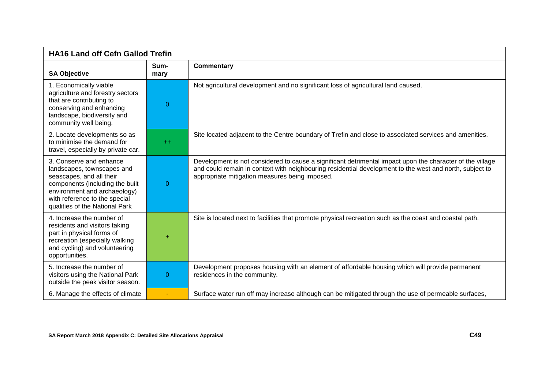| <b>HA16 Land off Cefn Gallod Trefin</b>                                                                                                                                                                                 |                |                                                                                                                                                                                                                                                                        |
|-------------------------------------------------------------------------------------------------------------------------------------------------------------------------------------------------------------------------|----------------|------------------------------------------------------------------------------------------------------------------------------------------------------------------------------------------------------------------------------------------------------------------------|
| <b>SA Objective</b>                                                                                                                                                                                                     | Sum-<br>mary   | <b>Commentary</b>                                                                                                                                                                                                                                                      |
| 1. Economically viable<br>agriculture and forestry sectors<br>that are contributing to<br>conserving and enhancing<br>landscape, biodiversity and<br>community well being.                                              | $\overline{0}$ | Not agricultural development and no significant loss of agricultural land caused.                                                                                                                                                                                      |
| 2. Locate developments so as<br>to minimise the demand for<br>travel, especially by private car.                                                                                                                        | $+$            | Site located adjacent to the Centre boundary of Trefin and close to associated services and amenities.                                                                                                                                                                 |
| 3. Conserve and enhance<br>landscapes, townscapes and<br>seascapes, and all their<br>components (including the built<br>environment and archaeology)<br>with reference to the special<br>qualities of the National Park | 0              | Development is not considered to cause a significant detrimental impact upon the character of the village<br>and could remain in context with neighbouring residential development to the west and north, subject to<br>appropriate mitigation measures being imposed. |
| 4. Increase the number of<br>residents and visitors taking<br>part in physical forms of<br>recreation (especially walking<br>and cycling) and volunteering<br>opportunities.                                            | $\ddot{}$      | Site is located next to facilities that promote physical recreation such as the coast and coastal path.                                                                                                                                                                |
| 5. Increase the number of<br>visitors using the National Park<br>outside the peak visitor season.                                                                                                                       | 0              | Development proposes housing with an element of affordable housing which will provide permanent<br>residences in the community.                                                                                                                                        |
| 6. Manage the effects of climate                                                                                                                                                                                        | ÷              | Surface water run off may increase although can be mitigated through the use of permeable surfaces,                                                                                                                                                                    |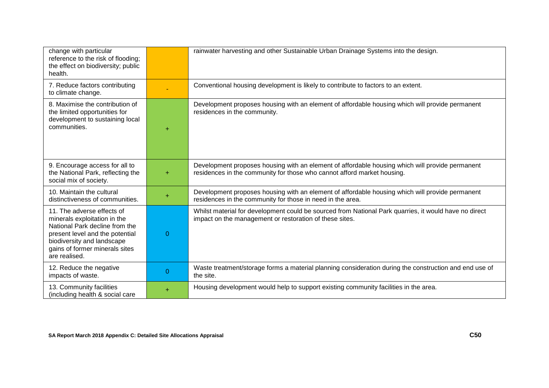| change with particular<br>reference to the risk of flooding;<br>the effect on biodiversity; public<br>health.                                                                                                    |                | rainwater harvesting and other Sustainable Urban Drainage Systems into the design.                                                                                         |
|------------------------------------------------------------------------------------------------------------------------------------------------------------------------------------------------------------------|----------------|----------------------------------------------------------------------------------------------------------------------------------------------------------------------------|
| 7. Reduce factors contributing<br>to climate change.                                                                                                                                                             |                | Conventional housing development is likely to contribute to factors to an extent.                                                                                          |
| 8. Maximise the contribution of<br>the limited opportunities for<br>development to sustaining local<br>communities.                                                                                              | $\ddot{}$      | Development proposes housing with an element of affordable housing which will provide permanent<br>residences in the community.                                            |
| 9. Encourage access for all to<br>the National Park, reflecting the<br>social mix of society.                                                                                                                    | ÷              | Development proposes housing with an element of affordable housing which will provide permanent<br>residences in the community for those who cannot afford market housing. |
| 10. Maintain the cultural<br>distinctiveness of communities.                                                                                                                                                     | ÷              | Development proposes housing with an element of affordable housing which will provide permanent<br>residences in the community for those in need in the area.              |
| 11. The adverse effects of<br>minerals exploitation in the<br>National Park decline from the<br>present level and the potential<br>biodiversity and landscape<br>gains of former minerals sites<br>are realised. | $\overline{0}$ | Whilst material for development could be sourced from National Park quarries, it would have no direct<br>impact on the management or restoration of these sites.           |
| 12. Reduce the negative<br>impacts of waste.                                                                                                                                                                     | $\Omega$       | Waste treatment/storage forms a material planning consideration during the construction and end use of<br>the site.                                                        |
| 13. Community facilities<br>(including health & social care                                                                                                                                                      | ÷              | Housing development would help to support existing community facilities in the area.                                                                                       |